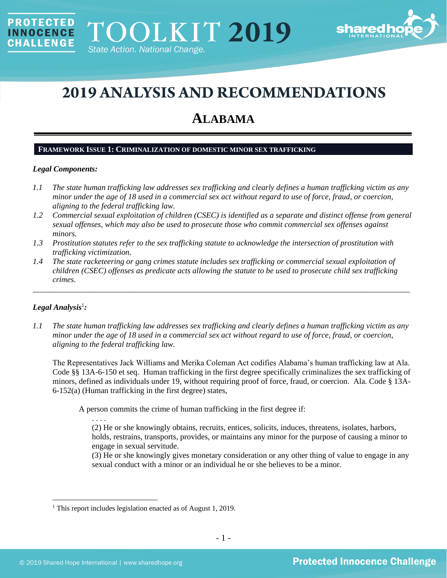

# **2019 ANALYSIS AND RECOMMENDATIONS**

# **ALABAMA**

#### **FRAMEWORK ISSUE 1: CRIMINALIZATION OF DOMESTIC MINOR SEX TRAFFICKING**

# *Legal Components:*

PROTECTED

**INNOCENCE CHALLENGE** 

- *1.1 The state human trafficking law addresses sex trafficking and clearly defines a human trafficking victim as any minor under the age of 18 used in a commercial sex act without regard to use of force, fraud, or coercion, aligning to the federal trafficking law.*
- *1.2 Commercial sexual exploitation of children (CSEC) is identified as a separate and distinct offense from general sexual offenses, which may also be used to prosecute those who commit commercial sex offenses against minors.*
- *1.3 Prostitution statutes refer to the sex trafficking statute to acknowledge the intersection of prostitution with trafficking victimization.*
- *1.4 The state racketeering or gang crimes statute includes sex trafficking or commercial sexual exploitation of children (CSEC) offenses as predicate acts allowing the statute to be used to prosecute child sex trafficking crimes.*

\_\_\_\_\_\_\_\_\_\_\_\_\_\_\_\_\_\_\_\_\_\_\_\_\_\_\_\_\_\_\_\_\_\_\_\_\_\_\_\_\_\_\_\_\_\_\_\_\_\_\_\_\_\_\_\_\_\_\_\_\_\_\_\_\_\_\_\_\_\_\_\_\_\_\_\_\_\_\_\_\_\_\_\_\_\_\_\_\_\_\_\_\_\_

# ${\it Legal Analysis^!}$  *:*

*1.1 The state human trafficking law addresses sex trafficking and clearly defines a human trafficking victim as any minor under the age of 18 used in a commercial sex act without regard to use of force, fraud, or coercion, aligning to the federal trafficking law.*

The Representatives Jack Williams and Merika Coleman Act codifies Alabama's human trafficking law at Ala. Code §§ 13A-6-150 et seq. Human trafficking in the first degree specifically criminalizes the sex trafficking of minors, defined as individuals under 19, without requiring proof of force, fraud, or coercion. Ala. Code § 13A-6-152(a) (Human trafficking in the first degree) states,

A person commits the crime of human trafficking in the first degree if:

. . . .

(2) He or she knowingly obtains, recruits, entices, solicits, induces, threatens, isolates, harbors, holds, restrains, transports, provides, or maintains any minor for the purpose of causing a minor to engage in sexual servitude.

(3) He or she knowingly gives monetary consideration or any other thing of value to engage in any sexual conduct with a minor or an individual he or she believes to be a minor.

<sup>1</sup> This report includes legislation enacted as of August 1, 2019.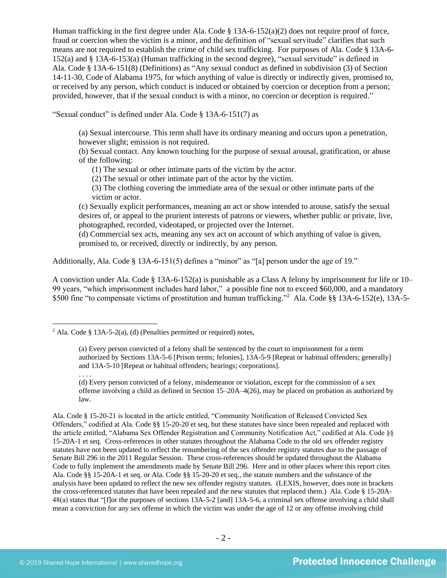Human trafficking in the first degree under Ala. Code § 13A-6-152(a)(2) does not require proof of force, fraud or coercion when the victim is a minor, and the definition of "sexual servitude" clarifies that such means are not required to establish the crime of child sex trafficking. For purposes of Ala. Code § 13A-6- 152(a) and § 13A-6-153(a) (Human trafficking in the second degree), "sexual servitude" is defined in Ala. Code § 13A-6-151(8) (Definitions) as "Any sexual conduct as defined in subdivision (3) of Section 14-11-30, Code of Alabama 1975, for which anything of value is directly or indirectly given, promised to, or received by any person, which conduct is induced or obtained by coercion or deception from a person; provided, however, that if the sexual conduct is with a minor, no coercion or deception is required."

"Sexual conduct" is defined under Ala. Code § 13A-6-151(7) as

(a) Sexual intercourse. This term shall have its ordinary meaning and occurs upon a penetration, however slight; emission is not required.

(b) Sexual contact. Any known touching for the purpose of sexual arousal, gratification, or abuse of the following:

(1) The sexual or other intimate parts of the victim by the actor.

(2) The sexual or other intimate part of the actor by the victim.

(3) The clothing covering the immediate area of the sexual or other intimate parts of the victim or actor.

(c) Sexually explicit performances, meaning an act or show intended to arouse, satisfy the sexual desires of, or appeal to the prurient interests of patrons or viewers, whether public or private, live, photographed, recorded, videotaped, or projected over the Internet.

(d) Commercial sex acts, meaning any sex act on account of which anything of value is given, promised to, or received, directly or indirectly, by any person.

Additionally, Ala. Code § 13A-6-151(5) defines a "minor" as "[a] person under the age of 19."

A conviction under Ala. Code § 13A-6-152(a) is punishable as a Class A felony by imprisonment for life or 10– 99 years, "which imprisonment includes hard labor," a possible fine not to exceed \$60,000, and a mandatory \$500 fine "to compensate victims of prostitution and human trafficking." 2 Ala. Code §§ 13A-6-152(e), 13A-5-

(d) Every person convicted of a felony, misdemeanor or violation, except for the commission of a sex offense involving a child as defined in Section 15–20A–4(26), may be placed on probation as authorized by law.

Ala. Code § 15-20-21 is located in the article entitled, "Community Notification of Released Convicted Sex Offenders," codified at Ala. Code §§ 15-20-20 et seq, but these statutes have since been repealed and replaced with the article entitled, "Alabama Sex Offender Registration and Community Notification Act," codified at Ala. Code §§ 15-20A-1 et seq. Cross-references in other statutes throughout the Alabama Code to the old sex offender registry statutes have not been updated to reflect the renumbering of the sex offender registry statutes due to the passage of Senate Bill 296 in the 2011 Regular Session. These cross-references should be updated throughout the Alabama Code to fully implement the amendments made by Senate Bill 296. Here and in other places where this report cites Ala. Code §§ 15-20A-1 et seq. or Ala. Code §§ 15-20-20 et seq., the statute numbers and the substance of the analysis have been updated to reflect the new sex offender registry statutes. (LEXIS, however, does note in brackets the cross-referenced statutes that have been repealed and the new statutes that replaced them.) Ala. Code § 15-20A-48(a) states that "[f]or the purposes of sections 13A-5-2 [and] 13A-5-6, a criminal sex offense involving a child shall mean a conviction for any sex offense in which the victim was under the age of 12 or any offense involving child

<sup>&</sup>lt;sup>2</sup> Ala. Code § 13A-5-2(a), (d) (Penalties permitted or required) notes,

<span id="page-1-0"></span><sup>(</sup>a) Every person convicted of a felony shall be sentenced by the court to imprisonment for a term authorized by Sections 13A-5-6 [Prison terms; felonies], 13A-5-9 [Repeat or habitual offenders; generally] and 13A-5-10 [Repeat or habitual offenders; hearings; corporations].

<sup>. . . .</sup>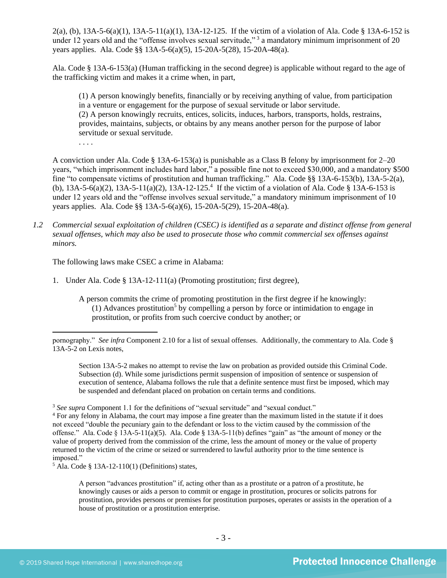2(a), (b),  $13A-5-6(a)(1)$ ,  $13A-5-11(a)(1)$ ,  $13A-12-125$ . If the victim of a violation of Ala. Code § 13A-6-152 is under 12 years old and the "offense involves sexual servitude,"  $3$  a mandatory minimum imprisonment of 20 years applies. Ala. Code §§ 13A-5-6(a)(5), 15-20A-5(28), 15-20A-48(a).

Ala. Code § 13A-6-153(a) (Human trafficking in the second degree) is applicable without regard to the age of the trafficking victim and makes it a crime when, in part,

(1) A person knowingly benefits, financially or by receiving anything of value, from participation in a venture or engagement for the purpose of sexual servitude or labor servitude. (2) A person knowingly recruits, entices, solicits, induces, harbors, transports, holds, restrains, provides, maintains, subjects, or obtains by any means another person for the purpose of labor servitude or sexual servitude.

A conviction under Ala. Code § 13A-6-153(a) is punishable as a Class B felony by imprisonment for 2–20 years, "which imprisonment includes hard labor," a possible fine not to exceed \$30,000, and a mandatory \$500 fine "to compensate victims of prostitution and human trafficking." Ala. Code §§ 13A-6-153(b), 13A-5-2(a), (b),  $13A-5-6(a)(2)$ ,  $13A-5-11(a)(2)$ ,  $13A-12-125$ .<sup>4</sup> If the victim of a violation of Ala. Code § 13A-6-153 is under 12 years old and the "offense involves sexual servitude," a mandatory minimum imprisonment of 10 years applies. Ala. Code §§ 13A-5-6(a)(6), 15-20A-5(29), 15-20A-48(a).

*1.2 Commercial sexual exploitation of children (CSEC) is identified as a separate and distinct offense from general sexual offenses, which may also be used to prosecute those who commit commercial sex offenses against minors.*

The following laws make CSEC a crime in Alabama:

<span id="page-2-0"></span>. . . .

- 1. Under Ala. Code § 13A-12-111(a) (Promoting prostitution; first degree),
	- A person commits the crime of promoting prostitution in the first degree if he knowingly: (1) Advances prostitution<sup>5</sup> by compelling a person by force or intimidation to engage in prostitution, or profits from such coercive conduct by another; or

Section 13A-5-2 makes no attempt to revise the law on probation as provided outside this Criminal Code. Subsection (d). While some jurisdictions permit suspension of imposition of sentence or suspension of execution of sentence, Alabama follows the rule that a definite sentence must first be imposed, which may be suspended and defendant placed on probation on certain terms and conditions.

<sup>3</sup> See supra Component 1.1 for the definitions of "sexual servitude" and "sexual conduct."

 $<sup>5</sup>$  Ala. Code § 13A-12-110(1) (Definitions) states,</sup>

A person "advances prostitution" if, acting other than as a prostitute or a patron of a prostitute, he knowingly causes or aids a person to commit or engage in prostitution, procures or solicits patrons for prostitution, provides persons or premises for prostitution purposes, operates or assists in the operation of a house of prostitution or a prostitution enterprise.

pornography." *See infra* Component 2.10 for a list of sexual offenses. Additionally, the commentary to Ala. Code § 13A-5-2 on Lexis notes,

<sup>4</sup> For any felony in Alabama, the court may impose a fine greater than the maximum listed in the statute if it does not exceed "double the pecuniary gain to the defendant or loss to the victim caused by the commission of the offense." Ala. Code § 13A-5-11(a)(5). Ala. Code § 13A-5-11(b) defines "gain" as "the amount of money or the value of property derived from the commission of the crime, less the amount of money or the value of property returned to the victim of the crime or seized or surrendered to lawful authority prior to the time sentence is imposed."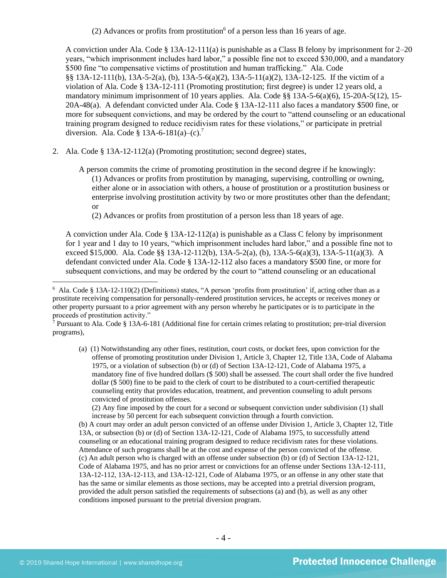(2) Advances or profits from prostitution<sup>6</sup> of a person less than 16 years of age.

A conviction under Ala. Code  $\S 13A-12-111(a)$  is punishable as a Class B felony by imprisonment for 2–20 years, "which imprisonment includes hard labor," a possible fine not to exceed \$30,000, and a mandatory \$500 fine "to compensative victims of prostitution and human trafficking." Ala. Code §§ 13A-12-111(b), 13A-5-2(a), (b), 13A-5-6(a)(2), 13A-5-11(a)(2), 13A-12-125. If the victim of a violation of Ala. Code § 13A-12-111 (Promoting prostitution; first degree) is under 12 years old, a mandatory minimum imprisonment of 10 years applies. Ala. Code §§ 13A-5-6(a)(6), 15-20A-5(12), 15- 20A-48(a). A defendant convicted under Ala. Code § 13A-12-111 also faces a mandatory \$500 fine, or more for subsequent convictions, and may be ordered by the court to "attend counseling or an educational training program designed to reduce recidivism rates for these violations," or participate in pretrial diversion. Ala. Code § 13A-6-181(a)–(c).<sup>7</sup>

- 2. Ala. Code § 13A-12-112(a) (Promoting prostitution; second degree) states,
	- A person commits the crime of promoting prostitution in the second degree if he knowingly: (1) Advances or profits from prostitution by managing, supervising, controlling or owning, either alone or in association with others, a house of prostitution or a prostitution business or enterprise involving prostitution activity by two or more prostitutes other than the defendant; or

<span id="page-3-0"></span>(2) Advances or profits from prostitution of a person less than 18 years of age.

A conviction under Ala. Code § 13A-12-112(a) is punishable as a Class C felony by imprisonment for 1 year and 1 day to 10 years, "which imprisonment includes hard labor," and a possible fine not to exceed \$15,000. Ala. Code §§ 13A-12-112(b), 13A-5-2(a), (b), 13A-5-6(a)(3), 13A-5-11(a)(3). A defendant convicted under Ala. Code § 13A-12-112 also faces a mandatory \$500 fine, or more for subsequent convictions, and may be ordered by the court to "attend counseling or an educational

(a) (1) Notwithstanding any other fines, restitution, court costs, or docket fees, upon conviction for the offense of promoting prostitution under Division 1, Article 3, Chapter 12, Title 13A, Code of Alabama 1975, or a violation of subsection (b) or (d) of Section 13A-12-121, Code of Alabama 1975, a mandatory fine of five hundred dollars (\$ 500) shall be assessed. The court shall order the five hundred dollar (\$ 500) fine to be paid to the clerk of court to be distributed to a court-certified therapeutic counseling entity that provides education, treatment, and prevention counseling to adult persons convicted of prostitution offenses.

(2) Any fine imposed by the court for a second or subsequent conviction under subdivision (1) shall increase by 50 percent for each subsequent conviction through a fourth conviction.

(b) A court may order an adult person convicted of an offense under Division 1, Article 3, Chapter 12, Title 13A, or subsection (b) or (d) of Section 13A-12-121, Code of Alabama 1975, to successfully attend counseling or an educational training program designed to reduce recidivism rates for these violations. Attendance of such programs shall be at the cost and expense of the person convicted of the offense. (c) An adult person who is charged with an offense under subsection (b) or (d) of Section 13A-12-121, Code of Alabama 1975, and has no prior arrest or convictions for an offense under Sections 13A-12-111, 13A-12-112, 13A-12-113, and 13A-12-121, Code of Alabama 1975, or an offense in any other state that has the same or similar elements as those sections, may be accepted into a pretrial diversion program, provided the adult person satisfied the requirements of subsections (a) and (b), as well as any other conditions imposed pursuant to the pretrial diversion program.

 $6$  Ala. Code § 13A-12-110(2) (Definitions) states, "A person 'profits from prostitution' if, acting other than as a prostitute receiving compensation for personally-rendered prostitution services, he accepts or receives money or other property pursuant to a prior agreement with any person whereby he participates or is to participate in the proceeds of prostitution activity."

<sup>&</sup>lt;sup>7</sup> Pursuant to Ala. Code § 13A-6-181 (Additional fine for certain crimes relating to prostitution; pre-trial diversion programs),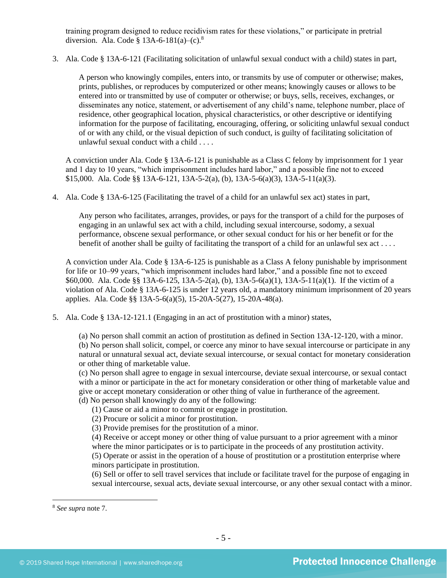training program designed to reduce recidivism rates for these violations," or participate in pretrial diversion. Ala. Code § 13A-6-181(a)–(c).<sup>8</sup>

3. Ala. Code § 13A-6-121 (Facilitating solicitation of unlawful sexual conduct with a child) states in part,

A person who knowingly compiles, enters into, or transmits by use of computer or otherwise; makes, prints, publishes, or reproduces by computerized or other means; knowingly causes or allows to be entered into or transmitted by use of computer or otherwise; or buys, sells, receives, exchanges, or disseminates any notice, statement, or advertisement of any child's name, telephone number, place of residence, other geographical location, physical characteristics, or other descriptive or identifying information for the purpose of facilitating, encouraging, offering, or soliciting unlawful sexual conduct of or with any child, or the visual depiction of such conduct, is guilty of facilitating solicitation of unlawful sexual conduct with a child . . . .

A conviction under Ala. Code § 13A-6-121 is punishable as a Class C felony by imprisonment for 1 year and 1 day to 10 years, "which imprisonment includes hard labor," and a possible fine not to exceed \$15,000. Ala. Code §§ 13A-6-121, 13A-5-2(a), (b), 13A-5-6(a)(3), 13A-5-11(a)(3).

4. Ala. Code § 13A-6-125 (Facilitating the travel of a child for an unlawful sex act) states in part,

Any person who facilitates, arranges, provides, or pays for the transport of a child for the purposes of engaging in an unlawful sex act with a child, including sexual intercourse, sodomy, a sexual performance, obscene sexual performance, or other sexual conduct for his or her benefit or for the benefit of another shall be guilty of facilitating the transport of a child for an unlawful sex act . . . .

A conviction under Ala. Code § 13A-6-125 is punishable as a Class A felony punishable by imprisonment for life or 10–99 years, "which imprisonment includes hard labor," and a possible fine not to exceed \$60,000. Ala. Code §§ 13A-6-125, 13A-5-2(a), (b), 13A-5-6(a)(1), 13A-5-11(a)(1). If the victim of a violation of Ala. Code § 13A-6-125 is under 12 years old, a mandatory minimum imprisonment of 20 years applies. Ala. Code §§ 13A-5-6(a)(5), 15-20A-5(27), 15-20A-48(a).

5. Ala. Code § 13A-12-121.1 (Engaging in an act of prostitution with a minor) states,

(a) No person shall commit an action of prostitution as defined in Section 13A-12-120, with a minor. (b) No person shall solicit, compel, or coerce any minor to have sexual intercourse or participate in any natural or unnatural sexual act, deviate sexual intercourse, or sexual contact for monetary consideration or other thing of marketable value.

(c) No person shall agree to engage in sexual intercourse, deviate sexual intercourse, or sexual contact with a minor or participate in the act for monetary consideration or other thing of marketable value and give or accept monetary consideration or other thing of value in furtherance of the agreement. (d) No person shall knowingly do any of the following:

- (1) Cause or aid a minor to commit or engage in prostitution.
- (2) Procure or solicit a minor for prostitution.
- (3) Provide premises for the prostitution of a minor.

(4) Receive or accept money or other thing of value pursuant to a prior agreement with a minor where the minor participates or is to participate in the proceeds of any prostitution activity.

(5) Operate or assist in the operation of a house of prostitution or a prostitution enterprise where minors participate in prostitution.

(6) Sell or offer to sell travel services that include or facilitate travel for the purpose of engaging in sexual intercourse, sexual acts, deviate sexual intercourse, or any other sexual contact with a minor.

<sup>8</sup> *See supra* note [7.](#page-3-0)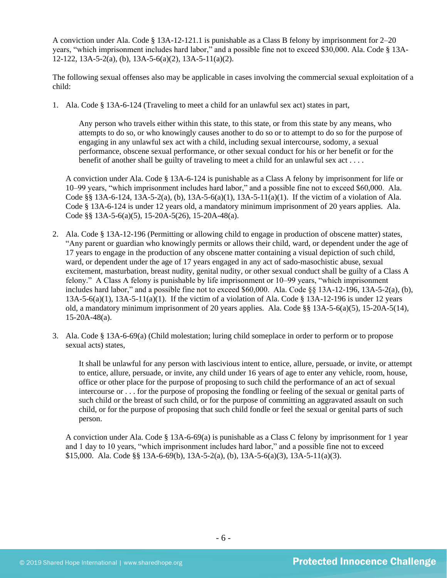A conviction under Ala. Code § 13A-12-121.1 is punishable as a Class B felony by imprisonment for 2–20 years, "which imprisonment includes hard labor," and a possible fine not to exceed \$30,000. Ala. Code § 13A-12-122, 13A-5-2(a), (b), 13A-5-6(a)(2), 13A-5-11(a)(2).

The following sexual offenses also may be applicable in cases involving the commercial sexual exploitation of a child:

1. Ala. Code § 13A-6-124 (Traveling to meet a child for an unlawful sex act) states in part,

Any person who travels either within this state, to this state, or from this state by any means, who attempts to do so, or who knowingly causes another to do so or to attempt to do so for the purpose of engaging in any unlawful sex act with a child, including sexual intercourse, sodomy, a sexual performance, obscene sexual performance, or other sexual conduct for his or her benefit or for the benefit of another shall be guilty of traveling to meet a child for an unlawful sex act . . . .

A conviction under Ala. Code § 13A-6-124 is punishable as a Class A felony by imprisonment for life or 10–99 years, "which imprisonment includes hard labor," and a possible fine not to exceed \$60,000. Ala. Code §§ 13A-6-124, 13A-5-2(a), (b), 13A-5-6(a)(1), 13A-5-11(a)(1). If the victim of a violation of Ala. Code § 13A-6-124 is under 12 years old, a mandatory minimum imprisonment of 20 years applies. Ala. Code §§ 13A-5-6(a)(5), 15-20A-5(26), 15-20A-48(a).

- 2. Ala. Code § 13A-12-196 (Permitting or allowing child to engage in production of obscene matter) states, "Any parent or guardian who knowingly permits or allows their child, ward, or dependent under the age of 17 years to engage in the production of any obscene matter containing a visual depiction of such child, ward, or dependent under the age of 17 years engaged in any act of sado-masochistic abuse, sexual excitement, masturbation, breast nudity, genital nudity, or other sexual conduct shall be guilty of a Class A felony." A Class A felony is punishable by life imprisonment or 10–99 years, "which imprisonment includes hard labor," and a possible fine not to exceed  $$60,000$ . Ala. Code  $§$ § 13A-12-196, 13A-5-2(a), (b), 13A-5-6(a)(1), 13A-5-11(a)(1). If the victim of a violation of Ala. Code § 13A-12-196 is under 12 years old, a mandatory minimum imprisonment of 20 years applies. Ala. Code §§ 13A-5-6(a)(5), 15-20A-5(14), 15-20A-48(a).
- 3. Ala. Code § 13A-6-69(a) (Child molestation; luring child someplace in order to perform or to propose sexual acts) states,

It shall be unlawful for any person with lascivious intent to entice, allure, persuade, or invite, or attempt to entice, allure, persuade, or invite, any child under 16 years of age to enter any vehicle, room, house, office or other place for the purpose of proposing to such child the performance of an act of sexual intercourse or . . . for the purpose of proposing the fondling or feeling of the sexual or genital parts of such child or the breast of such child, or for the purpose of committing an aggravated assault on such child, or for the purpose of proposing that such child fondle or feel the sexual or genital parts of such person.

A conviction under Ala. Code § 13A-6-69(a) is punishable as a Class C felony by imprisonment for 1 year and 1 day to 10 years, "which imprisonment includes hard labor," and a possible fine not to exceed \$15,000. Ala. Code §§ 13A-6-69(b), 13A-5-2(a), (b), 13A-5-6(a)(3), 13A-5-11(a)(3).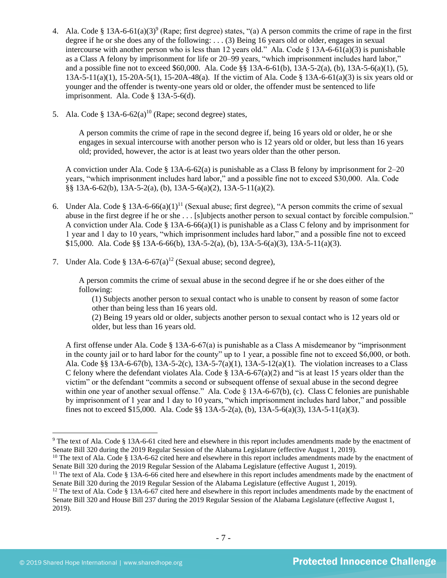- 4. Ala. Code § 13A-6-61(a)(3)<sup>9</sup> (Rape; first degree) states, "(a) A person commits the crime of rape in the first degree if he or she does any of the following: . . . (3) Being 16 years old or older, engages in sexual intercourse with another person who is less than 12 years old." Ala. Code § 13A-6-61(a)(3) is punishable as a Class A felony by imprisonment for life or 20–99 years, "which imprisonment includes hard labor," and a possible fine not to exceed \$60,000. Ala. Code §§ 13A-6-61(b), 13A-5-2(a), (b), 13A-5-6(a)(1), (5), 13A-5-11(a)(1), 15-20A-5(1), 15-20A-48(a). If the victim of Ala. Code § 13A-6-61(a)(3) is six years old or younger and the offender is twenty-one years old or older, the offender must be sentenced to life imprisonment. Ala. Code § 13A-5-6(d).
- 5. Ala. Code  $\delta$  13A-6-62(a)<sup>10</sup> (Rape; second degree) states,

A person commits the crime of rape in the second degree if, being 16 years old or older, he or she engages in sexual intercourse with another person who is 12 years old or older, but less than 16 years old; provided, however, the actor is at least two years older than the other person.

A conviction under Ala. Code § 13A-6-62(a) is punishable as a Class B felony by imprisonment for 2–20 years, "which imprisonment includes hard labor," and a possible fine not to exceed \$30,000. Ala. Code §§ 13A-6-62(b), 13A-5-2(a), (b), 13A-5-6(a)(2), 13A-5-11(a)(2).

- 6. Under Ala. Code § 13A-6-66(a)(1)<sup>11</sup> (Sexual abuse; first degree), "A person commits the crime of sexual abuse in the first degree if he or she . . . [s]ubjects another person to sexual contact by forcible compulsion." A conviction under Ala. Code § 13A-6-66(a)(1) is punishable as a Class C felony and by imprisonment for 1 year and 1 day to 10 years, "which imprisonment includes hard labor," and a possible fine not to exceed  $$15,000$ . Ala. Code  $\S$ § 13A-6-66(b), 13A-5-2(a), (b), 13A-5-6(a)(3), 13A-5-11(a)(3).
- 7. Under Ala. Code § 13A-6-67(a)<sup>12</sup> (Sexual abuse; second degree),

A person commits the crime of sexual abuse in the second degree if he or she does either of the following:

(1) Subjects another person to sexual contact who is unable to consent by reason of some factor other than being less than 16 years old.

(2) Being 19 years old or older, subjects another person to sexual contact who is 12 years old or older, but less than 16 years old.

A first offense under Ala. Code § 13A-6-67(a) is punishable as a Class A misdemeanor by "imprisonment in the county jail or to hard labor for the county" up to 1 year, a possible fine not to exceed \$6,000, or both. Ala. Code §§ 13A-6-67(b), 13A-5-2(c), 13A-5-7(a)(1), 13A-5-12(a)(1). The violation increases to a Class C felony where the defendant violates Ala. Code  $\S 13A-6-67(a)(2)$  and "is at least 15 years older than the victim" or the defendant "commits a second or subsequent offense of sexual abuse in the second degree within one year of another sexual offense." Ala. Code  $\S 13A-6-67(b)$ , (c). Class C felonies are punishable by imprisonment of 1 year and 1 day to 10 years, "which imprisonment includes hard labor," and possible fines not to exceed \$15,000. Ala. Code §§ 13A-5-2(a), (b), 13A-5-6(a)(3), 13A-5-11(a)(3).

<sup>9</sup> The text of Ala. Code § 13A-6-61 cited here and elsewhere in this report includes amendments made by the enactment of Senate Bill 320 during the 2019 Regular Session of the Alabama Legislature (effective August 1, 2019).

<sup>&</sup>lt;sup>10</sup> The text of Ala. Code § 13A-6-62 cited here and elsewhere in this report includes amendments made by the enactment of Senate Bill 320 during the 2019 Regular Session of the Alabama Legislature (effective August 1, 2019).

 $11$  The text of Ala. Code § 13A-6-66 cited here and elsewhere in this report includes amendments made by the enactment of Senate Bill 320 during the 2019 Regular Session of the Alabama Legislature (effective August 1, 2019).

 $12$  The text of Ala. Code § 13A-6-67 cited here and elsewhere in this report includes amendments made by the enactment of Senate Bill 320 and House Bill 237 during the 2019 Regular Session of the Alabama Legislature (effective August 1, 2019).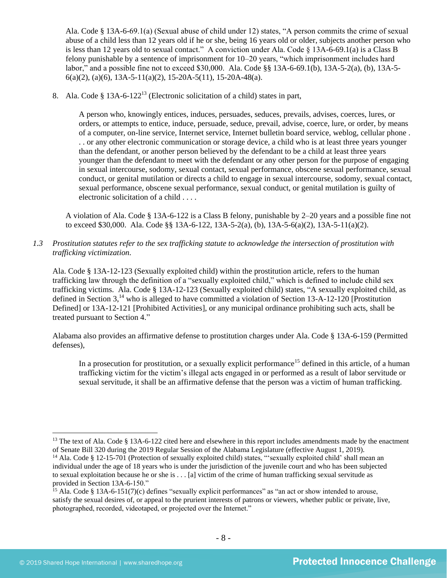Ala. Code § 13A-6-69.1(a) (Sexual abuse of child under 12) states, "A person commits the crime of sexual abuse of a child less than 12 years old if he or she, being 16 years old or older, subjects another person who is less than 12 years old to sexual contact." A conviction under Ala. Code § 13A-6-69.1(a) is a Class B felony punishable by a sentence of imprisonment for 10–20 years, "which imprisonment includes hard labor," and a possible fine not to exceed \$30,000. Ala. Code §§ 13A-6-69.1(b), 13A-5-2(a), (b), 13A-5- 6(a)(2), (a)(6), 13A-5-11(a)(2), 15-20A-5(11), 15-20A-48(a).

8. Ala. Code § 13A-6-122<sup>13</sup> (Electronic solicitation of a child) states in part,

<span id="page-7-0"></span>A person who, knowingly entices, induces, persuades, seduces, prevails, advises, coerces, lures, or orders, or attempts to entice, induce, persuade, seduce, prevail, advise, coerce, lure, or order, by means of a computer, on-line service, Internet service, Internet bulletin board service, weblog, cellular phone . . . or any other electronic communication or storage device, a child who is at least three years younger than the defendant, or another person believed by the defendant to be a child at least three years younger than the defendant to meet with the defendant or any other person for the purpose of engaging in sexual intercourse, sodomy, sexual contact, sexual performance, obscene sexual performance, sexual conduct, or genital mutilation or directs a child to engage in sexual intercourse, sodomy, sexual contact, sexual performance, obscene sexual performance, sexual conduct, or genital mutilation is guilty of electronic solicitation of a child . . . .

A violation of Ala. Code § 13A-6-122 is a Class B felony, punishable by 2–20 years and a possible fine not to exceed \$30,000. Ala. Code §§ 13A-6-122, 13A-5-2(a), (b), 13A-5-6(a)(2), 13A-5-11(a)(2).

*1.3 Prostitution statutes refer to the sex trafficking statute to acknowledge the intersection of prostitution with trafficking victimization.* 

Ala. Code § 13A-12-123 (Sexually exploited child) within the prostitution article, refers to the human trafficking law through the definition of a "sexually exploited child," which is defined to include child sex trafficking victims. Ala. Code § 13A-12-123 (Sexually exploited child) states, "A sexually exploited child, as defined in Section  $3<sup>14</sup>$  who is alleged to have committed a violation of Section 13-A-12-120 [Prostitution Defined] or 13A-12-121 [Prohibited Activities], or any municipal ordinance prohibiting such acts, shall be treated pursuant to Section 4."

Alabama also provides an affirmative defense to prostitution charges under Ala. Code § 13A-6-159 (Permitted defenses),

In a prosecution for prostitution, or a sexually explicit performance<sup>15</sup> defined in this article, of a human trafficking victim for the victim's illegal acts engaged in or performed as a result of labor servitude or sexual servitude, it shall be an affirmative defense that the person was a victim of human trafficking.

<sup>&</sup>lt;sup>13</sup> The text of Ala. Code § 13A-6-122 cited here and elsewhere in this report includes amendments made by the enactment of Senate Bill 320 during the 2019 Regular Session of the Alabama Legislature (effective August 1, 2019).

<sup>&</sup>lt;sup>14</sup> Ala. Code § 12-15-701 (Protection of sexually exploited child) states, "'sexually exploited child' shall mean an individual under the age of 18 years who is under the jurisdiction of the juvenile court and who has been subjected to sexual exploitation because he or she is . . . [a] victim of the crime of human trafficking sexual servitude as provided in Section 13A-6-150."

<sup>&</sup>lt;sup>15</sup> Ala. Code § 13A-6-151(7)(c) defines "sexually explicit performances" as "an act or show intended to arouse, satisfy the sexual desires of, or appeal to the prurient interests of patrons or viewers, whether public or private, live, photographed, recorded, videotaped, or projected over the Internet."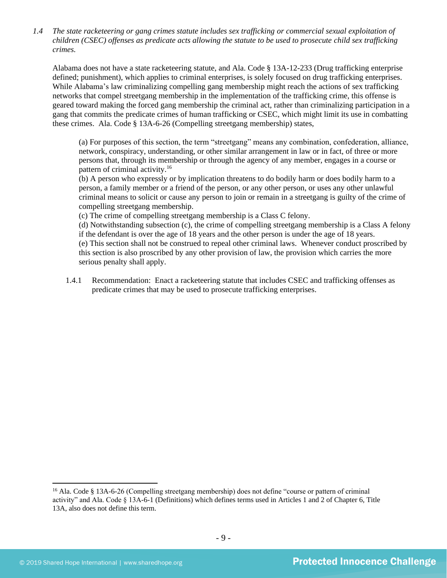*1.4 The state racketeering or gang crimes statute includes sex trafficking or commercial sexual exploitation of children (CSEC) offenses as predicate acts allowing the statute to be used to prosecute child sex trafficking crimes.* 

Alabama does not have a state racketeering statute, and Ala. Code § 13A-12-233 (Drug trafficking enterprise defined; punishment), which applies to criminal enterprises, is solely focused on drug trafficking enterprises. While Alabama's law criminalizing compelling gang membership might reach the actions of sex trafficking networks that compel streetgang membership in the implementation of the trafficking crime, this offense is geared toward making the forced gang membership the criminal act, rather than criminalizing participation in a gang that commits the predicate crimes of human trafficking or CSEC, which might limit its use in combatting these crimes. Ala. Code § 13A-6-26 (Compelling streetgang membership) states,

(a) For purposes of this section, the term "streetgang" means any combination, confederation, alliance, network, conspiracy, understanding, or other similar arrangement in law or in fact, of three or more persons that, through its membership or through the agency of any member, engages in a course or pattern of criminal activity.<sup>16</sup>

(b) A person who expressly or by implication threatens to do bodily harm or does bodily harm to a person, a family member or a friend of the person, or any other person, or uses any other unlawful criminal means to solicit or cause any person to join or remain in a streetgang is guilty of the crime of compelling streetgang membership.

(c) The crime of compelling streetgang membership is a Class C felony.

(d) Notwithstanding subsection (c), the crime of compelling streetgang membership is a Class A felony if the defendant is over the age of 18 years and the other person is under the age of 18 years. (e) This section shall not be construed to repeal other criminal laws. Whenever conduct proscribed by this section is also proscribed by any other provision of law, the provision which carries the more serious penalty shall apply.

1.4.1 Recommendation: Enact a racketeering statute that includes CSEC and trafficking offenses as predicate crimes that may be used to prosecute trafficking enterprises.

<sup>&</sup>lt;sup>16</sup> Ala. Code § 13A-6-26 (Compelling streetgang membership) does not define "course or pattern of criminal activity" and Ala. Code § 13A-6-1 (Definitions) which defines terms used in Articles 1 and 2 of Chapter 6, Title 13A, also does not define this term.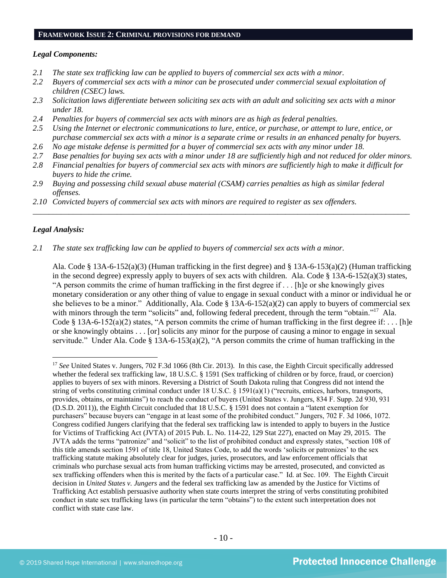#### **FRAMEWORK ISSUE 2: CRIMINAL PROVISIONS FOR DEMAND**

#### *Legal Components:*

- *2.1 The state sex trafficking law can be applied to buyers of commercial sex acts with a minor.*
- *2.2 Buyers of commercial sex acts with a minor can be prosecuted under commercial sexual exploitation of children (CSEC) laws.*
- *2.3 Solicitation laws differentiate between soliciting sex acts with an adult and soliciting sex acts with a minor under 18.*
- *2.4 Penalties for buyers of commercial sex acts with minors are as high as federal penalties.*
- *2.5 Using the Internet or electronic communications to lure, entice, or purchase, or attempt to lure, entice, or purchase commercial sex acts with a minor is a separate crime or results in an enhanced penalty for buyers.*
- *2.6 No age mistake defense is permitted for a buyer of commercial sex acts with any minor under 18.*
- *2.7 Base penalties for buying sex acts with a minor under 18 are sufficiently high and not reduced for older minors.*
- *2.8 Financial penalties for buyers of commercial sex acts with minors are sufficiently high to make it difficult for buyers to hide the crime.*

\_\_\_\_\_\_\_\_\_\_\_\_\_\_\_\_\_\_\_\_\_\_\_\_\_\_\_\_\_\_\_\_\_\_\_\_\_\_\_\_\_\_\_\_\_\_\_\_\_\_\_\_\_\_\_\_\_\_\_\_\_\_\_\_\_\_\_\_\_\_\_\_\_\_\_\_\_\_\_\_\_\_\_\_\_\_\_\_\_\_\_\_\_\_

- *2.9 Buying and possessing child sexual abuse material (CSAM) carries penalties as high as similar federal offenses.*
- *2.10 Convicted buyers of commercial sex acts with minors are required to register as sex offenders.*

#### *Legal Analysis:*

#### *2.1 The state sex trafficking law can be applied to buyers of commercial sex acts with a minor.*

Ala. Code § 13A-6-152(a)(3) (Human trafficking in the first degree) and § 13A-6-153(a)(2) (Human trafficking in the second degree) expressly apply to buyers of sex acts with children. Ala. Code § 13A-6-152(a)(3) states, "A person commits the crime of human trafficking in the first degree if . . . [h]e or she knowingly gives monetary consideration or any other thing of value to engage in sexual conduct with a minor or individual he or she believes to be a minor." Additionally, Ala. Code § 13A-6-152(a)(2) can apply to buyers of commercial sex with minors through the term "solicits" and, following federal precedent, through the term "obtain."<sup>17</sup> Ala. Code § 13A-6-152(a)(2) states, "A person commits the crime of human trafficking in the first degree if: . . . [h]e or she knowingly obtains . . . [or] solicits any minor for the purpose of causing a minor to engage in sexual servitude." Under Ala. Code § 13A-6-153(a)(2), "A person commits the crime of human trafficking in the

<sup>&</sup>lt;sup>17</sup> See United States v. Jungers, 702 F.3d 1066 (8th Cir. 2013). In this case, the Eighth Circuit specifically addressed whether the federal sex trafficking law, 18 U.S.C. § 1591 (Sex trafficking of children or by force, fraud, or coercion) applies to buyers of sex with minors. Reversing a District of South Dakota ruling that Congress did not intend the string of verbs constituting criminal conduct under  $18 \text{ U.S.C. }$   $\frac{1591(a)(1)}{2}$  ("recruits, entices, harbors, transports, provides, obtains, or maintains") to reach the conduct of buyers (United States v. Jungers, 834 F. Supp. 2d 930, 931 (D.S.D. 2011)), the Eighth Circuit concluded that 18 U.S.C. § 1591 does not contain a "latent exemption for purchasers" because buyers can "engage in at least some of the prohibited conduct." Jungers, 702 F. 3d 1066, 1072. Congress codified Jungers clarifying that the federal sex trafficking law is intended to apply to buyers in the Justice for Victims of Trafficking Act (JVTA) of 2015 Pub. L. No. 114-22, 129 Stat 227), enacted on May 29, 2015. The JVTA adds the terms "patronize" and "solicit" to the list of prohibited conduct and expressly states, "section 108 of this title amends section 1591 of title 18, United States Code, to add the words 'solicits or patronizes' to the sex trafficking statute making absolutely clear for judges, juries, prosecutors, and law enforcement officials that criminals who purchase sexual acts from human trafficking victims may be arrested, prosecuted, and convicted as sex trafficking offenders when this is merited by the facts of a particular case." Id. at Sec. 109. The Eighth Circuit decision in *United States v. Jungers* and the federal sex trafficking law as amended by the Justice for Victims of Trafficking Act establish persuasive authority when state courts interpret the string of verbs constituting prohibited conduct in state sex trafficking laws (in particular the term "obtains") to the extent such interpretation does not conflict with state case law.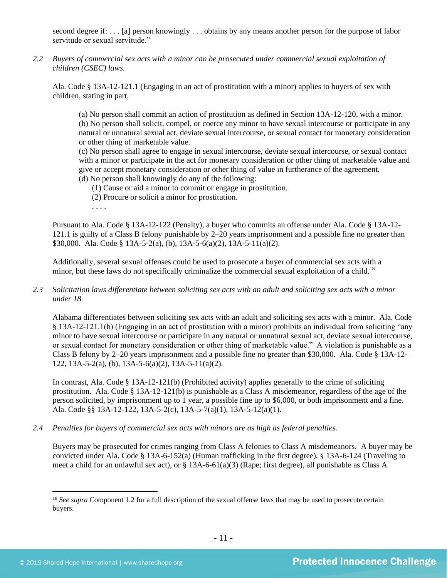second degree if: . . . [a] person knowingly . . . obtains by any means another person for the purpose of labor servitude or sexual servitude."

*2.2 Buyers of commercial sex acts with a minor can be prosecuted under commercial sexual exploitation of children (CSEC) laws.*

Ala. Code § 13A-12-121.1 (Engaging in an act of prostitution with a minor) applies to buyers of sex with children, stating in part,

(a) No person shall commit an action of prostitution as defined in Section 13A-12-120, with a minor. (b) No person shall solicit, compel, or coerce any minor to have sexual intercourse or participate in any natural or unnatural sexual act, deviate sexual intercourse, or sexual contact for monetary consideration or other thing of marketable value.

(c) No person shall agree to engage in sexual intercourse, deviate sexual intercourse, or sexual contact with a minor or participate in the act for monetary consideration or other thing of marketable value and give or accept monetary consideration or other thing of value in furtherance of the agreement. (d) No person shall knowingly do any of the following:

- (1) Cause or aid a minor to commit or engage in prostitution.
- (2) Procure or solicit a minor for prostitution.

. . . .

Pursuant to Ala. Code § 13A-12-122 (Penalty), a buyer who commits an offense under Ala. Code § 13A-12- 121.1 is guilty of a Class B felony punishable by 2–20 years imprisonment and a possible fine no greater than \$30,000. Ala. Code § 13A-5-2(a), (b), 13A-5-6(a)(2), 13A-5-11(a)(2).

Additionally, several sexual offenses could be used to prosecute a buyer of commercial sex acts with a minor, but these laws do not specifically criminalize the commercial sexual exploitation of a child.<sup>18</sup>

# *2.3 Solicitation laws differentiate between soliciting sex acts with an adult and soliciting sex acts with a minor under 18.*

Alabama differentiates between soliciting sex acts with an adult and soliciting sex acts with a minor. Ala. Code § 13A-12-121.1(b) (Engaging in an act of prostitution with a minor) prohibits an individual from soliciting "any minor to have sexual intercourse or participate in any natural or unnatural sexual act, deviate sexual intercourse, or sexual contact for monetary consideration or other thing of marketable value." A violation is punishable as a Class B felony by 2–20 years imprisonment and a possible fine no greater than \$30,000. Ala. Code § 13A-12- 122, 13A-5-2(a), (b), 13A-5-6(a)(2), 13A-5-11(a)(2).

In contrast, Ala. Code § 13A-12-121(b) (Prohibited activity) applies generally to the crime of soliciting prostitution. Ala. Code § 13A-12-121(b) is punishable as a Class A misdemeanor, regardless of the age of the person solicited, by imprisonment up to 1 year, a possible fine up to \$6,000, or both imprisonment and a fine. Ala. Code §§ 13A-12-122, 13A-5-2(c), 13A-5-7(a)(1), 13A-5-12(a)(1).

*2.4 Penalties for buyers of commercial sex acts with minors are as high as federal penalties.*

Buyers may be prosecuted for crimes ranging from Class A felonies to Class A misdemeanors. A buyer may be convicted under Ala. Code § 13A-6-152(a) (Human trafficking in the first degree), § 13A-6-124 (Traveling to meet a child for an unlawful sex act), or  $\S 13A-6-61(a)(3)$  (Rape; first degree), all punishable as Class A

<sup>&</sup>lt;sup>18</sup> *See supra* Component 1.2 for a full description of the sexual offense laws that may be used to prosecute certain buyers.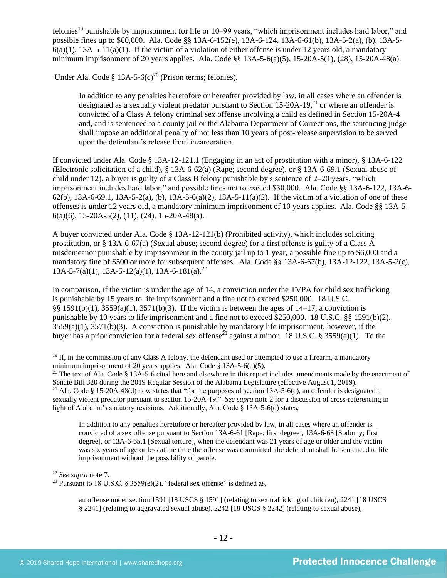<span id="page-11-0"></span>felonies<sup>19</sup> punishable by imprisonment for life or 10–99 years, "which imprisonment includes hard labor," and possible fines up to \$60,000. Ala. Code §§ 13A-6-152(e), 13A-6-124, 13A-6-61(b), 13A-5-2(a), (b), 13A-5-  $6(a)(1)$ ,  $13A-5-11(a)(1)$ . If the victim of a violation of either offense is under 12 years old, a mandatory minimum imprisonment of 20 years applies. Ala. Code §§ 13A-5-6(a)(5), 15-20A-5(1), (28), 15-20A-48(a).

Under Ala. Code § 13A-5-6(c)<sup>20</sup> (Prison terms; felonies),

<span id="page-11-2"></span><span id="page-11-1"></span>In addition to any penalties heretofore or hereafter provided by law, in all cases where an offender is designated as a sexually violent predator pursuant to Section 15-20A-19,<sup>21</sup> or where an offender is convicted of a Class A felony criminal sex offense involving a child as defined in Section 15-20A-4 and, and is sentenced to a county jail or the Alabama Department of Corrections, the sentencing judge shall impose an additional penalty of not less than 10 years of post-release supervision to be served upon the defendant's release from incarceration.

If convicted under Ala. Code § 13A-12-121.1 (Engaging in an act of prostitution with a minor), § 13A-6-122 (Electronic solicitation of a child), § 13A-6-62(a) (Rape; second degree), or § 13A-6-69.1 (Sexual abuse of child under 12), a buyer is guilty of a Class B felony punishable by s sentence of 2–20 years, "which imprisonment includes hard labor," and possible fines not to exceed \$30,000. Ala. Code §§ 13A-6-122, 13A-6- 62(b),  $13A-6-69.1$ ,  $13A-5-2(a)$ , (b),  $13A-5-6(a)(2)$ ,  $13A-5-11(a)(2)$ . If the victim of a violation of one of these offenses is under 12 years old, a mandatory minimum imprisonment of 10 years applies. Ala. Code §§ 13A-5- 6(a)(6), 15-20A-5(2), (11), (24), 15-20A-48(a).

A buyer convicted under Ala. Code § 13A-12-121(b) (Prohibited activity), which includes soliciting prostitution, or § 13A-6-67(a) (Sexual abuse; second degree) for a first offense is guilty of a Class A misdemeanor punishable by imprisonment in the county jail up to 1 year, a possible fine up to \$6,000 and a mandatory fine of \$500 or more for subsequent offenses. Ala. Code §§ 13A-6-67(b), 13A-12-122, 13A-5-2(c), 13A-5-7(a)(1), 13A-5-12(a)(1), 13A-6-181(a). 22

In comparison, if the victim is under the age of 14, a conviction under the TVPA for child sex trafficking is punishable by 15 years to life imprisonment and a fine not to exceed \$250,000. 18 U.S.C. §§ 1591(b)(1), 3559(a)(1), 3571(b)(3). If the victim is between the ages of 14–17, a conviction is punishable by 10 years to life imprisonment and a fine not to exceed \$250,000. 18 U.S.C. §§ 1591(b)(2),  $3559(a)(1)$ ,  $3571(b)(3)$ . A conviction is punishable by mandatory life imprisonment, however, if the buyer has a prior conviction for a federal sex offense<sup>23</sup> against a minor. 18 U.S.C. § 3559(e)(1). To the

<span id="page-11-3"></span>In addition to any penalties heretofore or hereafter provided by law, in all cases where an offender is convicted of a sex offense pursuant to Section 13A-6-61 [Rape; first degree], 13A-6-63 [Sodomy; first degree], or 13A-6-65.1 [Sexual torture], when the defendant was 21 years of age or older and the victim was six years of age or less at the time the offense was committed, the defendant shall be sentenced to life imprisonment without the possibility of parole.

<sup>22</sup> *See supra* note [7.](#page-3-0)

<sup>23</sup> Pursuant to 18 U.S.C. § 3559(e)(2), "federal sex offense" is defined as,

an offense under section 1591 [18 USCS § 1591] (relating to sex trafficking of children), 2241 [18 USCS § 2241] (relating to aggravated sexual abuse), 2242 [18 USCS § 2242] (relating to sexual abuse),

 $19$  If, in the commission of any Class A felony, the defendant used or attempted to use a firearm, a mandatory minimum imprisonment of 20 years applies. Ala. Code § 13A-5-6(a)(5).

<sup>&</sup>lt;sup>20</sup> The text of Ala. Code § 13A-5-6 cited here and elsewhere in this report includes amendments made by the enactment of Senate Bill 320 during the 2019 Regular Session of the Alabama Legislature (effective August 1, 2019).

<sup>&</sup>lt;sup>21</sup> Ala. Code § 15-20A-48(d) now states that "for the purposes of section 13A-5-6(c), an offender is designated a sexually violent predator pursuant to section 15-20A-19." *See supra* note [2](#page-1-0) for a discussion of cross-referencing in light of Alabama's statutory revisions. Additionally, Ala. Code § 13A-5-6(d) states,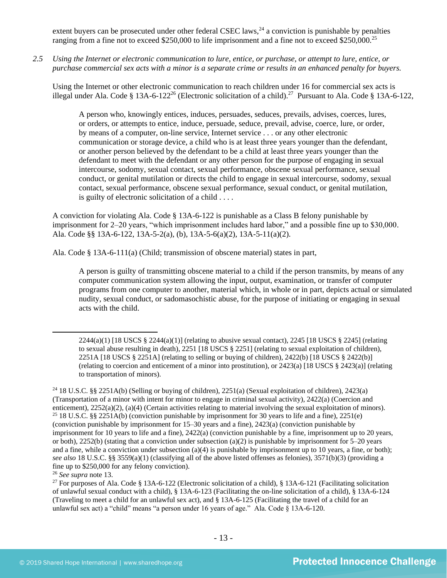extent buyers can be prosecuted under other federal CSEC laws,<sup>24</sup> a conviction is punishable by penalties ranging from a fine not to exceed \$250,000 to life imprisonment and a fine not to exceed \$250,000.<sup>25</sup>

*2.5 Using the Internet or electronic communication to lure, entice, or purchase, or attempt to lure, entice, or purchase commercial sex acts with a minor is a separate crime or results in an enhanced penalty for buyers.*

Using the Internet or other electronic communication to reach children under 16 for commercial sex acts is illegal under Ala. Code § 13A-6-122<sup>26</sup> (Electronic solicitation of a child).<sup>27</sup> Pursuant to Ala. Code § 13A-6-122,

A person who, knowingly entices, induces, persuades, seduces, prevails, advises, coerces, lures, or orders, or attempts to entice, induce, persuade, seduce, prevail, advise, coerce, lure, or order, by means of a computer, on-line service, Internet service . . . or any other electronic communication or storage device, a child who is at least three years younger than the defendant, or another person believed by the defendant to be a child at least three years younger than the defendant to meet with the defendant or any other person for the purpose of engaging in sexual intercourse, sodomy, sexual contact, sexual performance, obscene sexual performance, sexual conduct, or genital mutilation or directs the child to engage in sexual intercourse, sodomy, sexual contact, sexual performance, obscene sexual performance, sexual conduct, or genital mutilation, is guilty of electronic solicitation of a child . . . .

A conviction for violating Ala. Code § 13A-6-122 is punishable as a Class B felony punishable by imprisonment for 2–20 years, "which imprisonment includes hard labor," and a possible fine up to \$30,000. Ala. Code §§ 13A-6-122, 13A-5-2(a), (b), 13A-5-6(a)(2), 13A-5-11(a)(2).

Ala. Code § 13A-6-111(a) (Child; transmission of obscene material) states in part,

A person is guilty of transmitting obscene material to a child if the person transmits, by means of any computer communication system allowing the input, output, examination, or transfer of computer programs from one computer to another, material which, in whole or in part, depicts actual or simulated nudity, sexual conduct, or sadomasochistic abuse, for the purpose of initiating or engaging in sexual acts with the child.

 $2244(a)(1)$  [18 USCS §  $2244(a)(1)$ ] (relating to abusive sexual contact),  $2245$  [18 USCS § 2245] (relating to sexual abuse resulting in death), 2251 [18 USCS § 2251] (relating to sexual exploitation of children), 2251A [18 USCS § 2251A] (relating to selling or buying of children), 2422(b) [18 USCS § 2422(b)] (relating to coercion and enticement of a minor into prostitution), or 2423(a) [18 USCS § 2423(a)] (relating to transportation of minors).

<sup>&</sup>lt;sup>24</sup> 18 U.S.C. §§ 2251A(b) (Selling or buying of children), 2251(a) (Sexual exploitation of children), 2423(a) (Transportation of a minor with intent for minor to engage in criminal sexual activity), 2422(a) (Coercion and enticement), 2252(a)(2), (a)(4) (Certain activities relating to material involving the sexual exploitation of minors). <sup>25</sup> 18 U.S.C. §§ 2251A(b) (conviction punishable by imprisonment for 30 years to life and a fine), 2251(e) (conviction punishable by imprisonment for 15–30 years and a fine), 2423(a) (conviction punishable by imprisonment for 10 years to life and a fine), 2422(a) (conviction punishable by a fine, imprisonment up to 20 years, or both), 2252(b) (stating that a conviction under subsection (a)(2) is punishable by imprisonment for  $5-20$  years and a fine, while a conviction under subsection  $(a)(4)$  is punishable by imprisonment up to 10 years, a fine, or both); *see also* 18 U.S.C. §§ 3559(a)(1) (classifying all of the above listed offenses as felonies), 3571(b)(3) (providing a fine up to \$250,000 for any felony conviction).

<sup>26</sup> *See supra* note [13.](#page-7-0)

<sup>&</sup>lt;sup>27</sup> For purposes of Ala. Code § 13A-6-122 (Electronic solicitation of a child), § 13A-6-121 (Facilitating solicitation of unlawful sexual conduct with a child), § 13A-6-123 (Facilitating the on-line solicitation of a child), § 13A-6-124 (Traveling to meet a child for an unlawful sex act), and § 13A-6-125 (Facilitating the travel of a child for an unlawful sex act) a "child" means "a person under 16 years of age." Ala. Code § 13A-6-120.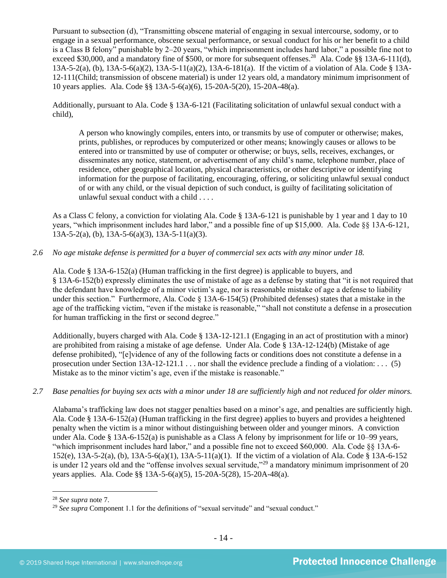Pursuant to subsection (d), "Transmitting obscene material of engaging in sexual intercourse, sodomy, or to engage in a sexual performance, obscene sexual performance, or sexual conduct for his or her benefit to a child is a Class B felony" punishable by 2–20 years, "which imprisonment includes hard labor," a possible fine not to exceed \$30,000, and a mandatory fine of \$500, or more for subsequent offenses.<sup>28</sup> Ala. Code §§ 13A-6-111(d), 13A-5-2(a), (b), 13A-5-6(a)(2), 13A-5-11(a)(2), 13A-6-181(a). If the victim of a violation of Ala. Code § 13A-12-111(Child; transmission of obscene material) is under 12 years old, a mandatory minimum imprisonment of 10 years applies. Ala. Code §§ 13A-5-6(a)(6), 15-20A-5(20), 15-20A-48(a).

Additionally, pursuant to Ala. Code § 13A-6-121 (Facilitating solicitation of unlawful sexual conduct with a child),

A person who knowingly compiles, enters into, or transmits by use of computer or otherwise; makes, prints, publishes, or reproduces by computerized or other means; knowingly causes or allows to be entered into or transmitted by use of computer or otherwise; or buys, sells, receives, exchanges, or disseminates any notice, statement, or advertisement of any child's name, telephone number, place of residence, other geographical location, physical characteristics, or other descriptive or identifying information for the purpose of facilitating, encouraging, offering, or soliciting unlawful sexual conduct of or with any child, or the visual depiction of such conduct, is guilty of facilitating solicitation of unlawful sexual conduct with a child . . . .

As a Class C felony, a conviction for violating Ala. Code § 13A-6-121 is punishable by 1 year and 1 day to 10 years, "which imprisonment includes hard labor," and a possible fine of up \$15,000. Ala. Code §§ 13A-6-121, 13A-5-2(a), (b), 13A-5-6(a)(3), 13A-5-11(a)(3).

### *2.6 No age mistake defense is permitted for a buyer of commercial sex acts with any minor under 18.*

Ala. Code § 13A-6-152(a) (Human trafficking in the first degree) is applicable to buyers, and § 13A-6-152(b) expressly eliminates the use of mistake of age as a defense by stating that "it is not required that the defendant have knowledge of a minor victim's age, nor is reasonable mistake of age a defense to liability under this section." Furthermore, Ala. Code § 13A-6-154(5) (Prohibited defenses) states that a mistake in the age of the trafficking victim, "even if the mistake is reasonable," "shall not constitute a defense in a prosecution for human trafficking in the first or second degree."

Additionally, buyers charged with Ala. Code § 13A-12-121.1 (Engaging in an act of prostitution with a minor) are prohibited from raising a mistake of age defense. Under Ala. Code § 13A-12-124(b) (Mistake of age defense prohibited), "[e]vidence of any of the following facts or conditions does not constitute a defense in a prosecution under Section 13A-12-121.1 . . . nor shall the evidence preclude a finding of a violation: . . . (5) Mistake as to the minor victim's age, even if the mistake is reasonable."

#### *2.7 Base penalties for buying sex acts with a minor under 18 are sufficiently high and not reduced for older minors.*

Alabama's trafficking law does not stagger penalties based on a minor's age, and penalties are sufficiently high. Ala. Code § 13A-6-152(a) (Human trafficking in the first degree) applies to buyers and provides a heightened penalty when the victim is a minor without distinguishing between older and younger minors. A conviction under Ala. Code § 13A-6-152(a) is punishable as a Class A felony by imprisonment for life or 10–99 years, "which imprisonment includes hard labor," and a possible fine not to exceed \$60,000. Ala. Code §§ 13A-6- 152(e), 13A-5-2(a), (b), 13A-5-6(a)(1), 13A-5-11(a)(1). If the victim of a violation of Ala. Code § 13A-6-152 is under 12 years old and the "offense involves sexual servitude,"<sup>29</sup> a mandatory minimum imprisonment of 20 years applies. Ala. Code §§ 13A-5-6(a)(5), 15-20A-5(28), 15-20A-48(a).

<sup>28</sup> *See supra* note [7.](#page-3-0)

<sup>&</sup>lt;sup>29</sup> See supra Component 1.1 for the definitions of "sexual servitude" and "sexual conduct."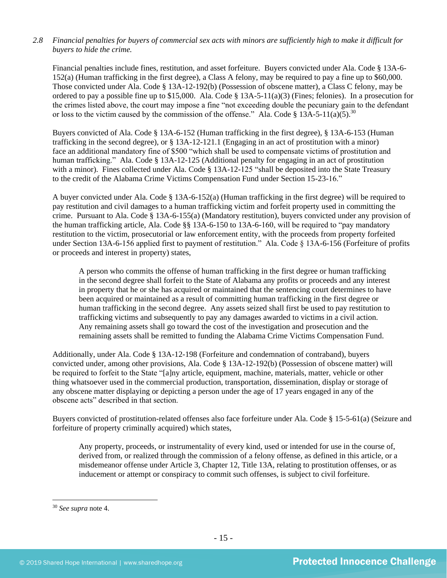# *2.8 Financial penalties for buyers of commercial sex acts with minors are sufficiently high to make it difficult for buyers to hide the crime.*

Financial penalties include fines, restitution, and asset forfeiture. Buyers convicted under Ala. Code § 13A-6- 152(a) (Human trafficking in the first degree), a Class A felony, may be required to pay a fine up to \$60,000. Those convicted under Ala. Code § 13A-12-192(b) (Possession of obscene matter), a Class C felony, may be ordered to pay a possible fine up to \$15,000. Ala. Code  $\S$  13A-5-11(a)(3) (Fines; felonies). In a prosecution for the crimes listed above, the court may impose a fine "not exceeding double the pecuniary gain to the defendant or loss to the victim caused by the commission of the offense." Ala. Code § 13A-5-11(a)(5).<sup>30</sup>

Buyers convicted of Ala. Code § 13A-6-152 (Human trafficking in the first degree), § 13A-6-153 (Human trafficking in the second degree), or § 13A-12-121.1 (Engaging in an act of prostitution with a minor) face an additional mandatory fine of \$500 "which shall be used to compensate victims of prostitution and human trafficking." Ala. Code § 13A-12-125 (Additional penalty for engaging in an act of prostitution with a minor). Fines collected under Ala. Code § 13A-12-125 "shall be deposited into the State Treasury to the credit of the Alabama Crime Victims Compensation Fund under Section 15-23-16."

A buyer convicted under Ala. Code § 13A-6-152(a) (Human trafficking in the first degree) will be required to pay restitution and civil damages to a human trafficking victim and forfeit property used in committing the crime. Pursuant to Ala. Code § 13A-6-155(a) (Mandatory restitution), buyers convicted under any provision of the human trafficking article, Ala. Code §§ 13A-6-150 to 13A-6-160, will be required to "pay mandatory restitution to the victim, prosecutorial or law enforcement entity, with the proceeds from property forfeited under Section 13A-6-156 applied first to payment of restitution." Ala. Code § 13A-6-156 (Forfeiture of profits or proceeds and interest in property) states,

A person who commits the offense of human trafficking in the first degree or human trafficking in the second degree shall forfeit to the State of Alabama any profits or proceeds and any interest in property that he or she has acquired or maintained that the sentencing court determines to have been acquired or maintained as a result of committing human trafficking in the first degree or human trafficking in the second degree. Any assets seized shall first be used to pay restitution to trafficking victims and subsequently to pay any damages awarded to victims in a civil action. Any remaining assets shall go toward the cost of the investigation and prosecution and the remaining assets shall be remitted to funding the Alabama Crime Victims Compensation Fund.

Additionally, under Ala. Code § 13A-12-198 (Forfeiture and condemnation of contraband), buyers convicted under, among other provisions, Ala. Code § 13A-12-192(b) (Possession of obscene matter) will be required to forfeit to the State "[a]ny article, equipment, machine, materials, matter, vehicle or other thing whatsoever used in the commercial production, transportation, dissemination, display or storage of any obscene matter displaying or depicting a person under the age of 17 years engaged in any of the obscene acts" described in that section.

Buyers convicted of prostitution-related offenses also face forfeiture under Ala. Code § 15-5-61(a) (Seizure and forfeiture of property criminally acquired) which states,

Any property, proceeds, or instrumentality of every kind, used or intended for use in the course of, derived from, or realized through the commission of a felony offense, as defined in this article, or a misdemeanor offense under Article 3, Chapter 12, Title 13A, relating to prostitution offenses, or as inducement or attempt or conspiracy to commit such offenses, is subject to civil forfeiture.

<sup>30</sup> *See supra* note [4.](#page-2-0)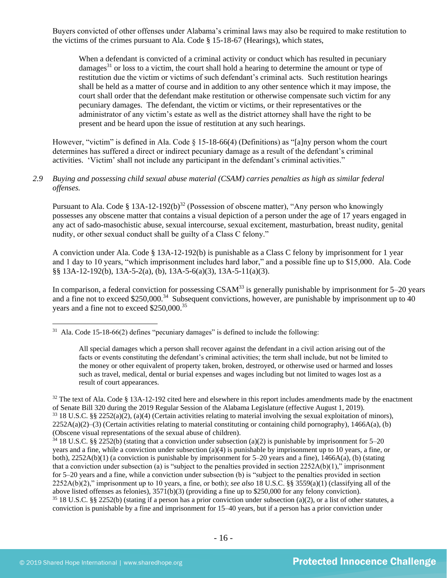Buyers convicted of other offenses under Alabama's criminal laws may also be required to make restitution to the victims of the crimes pursuant to Ala. Code § 15-18-67 (Hearings), which states,

<span id="page-15-1"></span>When a defendant is convicted of a criminal activity or conduct which has resulted in pecuniary damages<sup>31</sup> or loss to a victim, the court shall hold a hearing to determine the amount or type of restitution due the victim or victims of such defendant's criminal acts. Such restitution hearings shall be held as a matter of course and in addition to any other sentence which it may impose, the court shall order that the defendant make restitution or otherwise compensate such victim for any pecuniary damages. The defendant, the victim or victims, or their representatives or the administrator of any victim's estate as well as the district attorney shall have the right to be present and be heard upon the issue of restitution at any such hearings.

However, "victim" is defined in Ala. Code § 15-18-66(4) (Definitions) as "[a]ny person whom the court determines has suffered a direct or indirect pecuniary damage as a result of the defendant's criminal activities. 'Victim' shall not include any participant in the defendant's criminal activities."

### *2.9 Buying and possessing child sexual abuse material (CSAM) carries penalties as high as similar federal offenses.*

<span id="page-15-0"></span>Pursuant to Ala. Code § 13A-12-192(b)<sup>32</sup> (Possession of obscene matter), "Any person who knowingly possesses any obscene matter that contains a visual depiction of a person under the age of 17 years engaged in any act of sado-masochistic abuse, sexual intercourse, sexual excitement, masturbation, breast nudity, genital nudity, or other sexual conduct shall be guilty of a Class C felony."

A conviction under Ala. Code § 13A-12-192(b) is punishable as a Class C felony by imprisonment for 1 year and 1 day to 10 years, "which imprisonment includes hard labor," and a possible fine up to \$15,000. Ala. Code §§ 13A-12-192(b), 13A-5-2(a), (b), 13A-5-6(a)(3), 13A-5-11(a)(3).

In comparison, a federal conviction for possessing  $CSAM<sup>33</sup>$  is generally punishable by imprisonment for 5–20 years and a fine not to exceed \$250,000.<sup>34</sup> Subsequent convictions, however, are punishable by imprisonment up to 40 years and a fine not to exceed \$250,000.<sup>35</sup>

All special damages which a person shall recover against the defendant in a civil action arising out of the facts or events constituting the defendant's criminal activities; the term shall include, but not be limited to the money or other equivalent of property taken, broken, destroyed, or otherwise used or harmed and losses such as travel, medical, dental or burial expenses and wages including but not limited to wages lost as a result of court appearances.

<sup>&</sup>lt;sup>31</sup> Ala. Code 15-18-66(2) defines "pecuniary damages" is defined to include the following:

 $32$  The text of Ala. Code § 13A-12-192 cited here and elsewhere in this report includes amendments made by the enactment of Senate Bill 320 during the 2019 Regular Session of the Alabama Legislature (effective August 1, 2019).  $33\,18$  U.S.C. §§ 2252(a)(2), (a)(4) (Certain activities relating to material involving the sexual exploitation of minors),  $2252A(a)(2)$ –(3) (Certain activities relating to material constituting or containing child pornography), 1466A(a), (b) (Obscene visual representations of the sexual abuse of children).

 $34\,18$  U.S.C. §§ 2252(b) (stating that a conviction under subsection (a)(2) is punishable by imprisonment for 5–20 years and a fine, while a conviction under subsection (a)(4) is punishable by imprisonment up to 10 years, a fine, or both), 2252A(b)(1) (a conviction is punishable by imprisonment for 5–20 years and a fine), 1466A(a), (b) (stating that a conviction under subsection (a) is "subject to the penalties provided in section  $2252A(b)(1)$ ," imprisonment for 5–20 years and a fine, while a conviction under subsection (b) is "subject to the penalties provided in section 2252A(b)(2)," imprisonment up to 10 years, a fine, or both); *see also* 18 U.S.C. §§ 3559(a)(1) (classifying all of the above listed offenses as felonies), 3571(b)(3) (providing a fine up to \$250,000 for any felony conviction).  $35\,18$  U.S.C. §§ 2252(b) (stating if a person has a prior conviction under subsection (a)(2), or a list of other statutes, a conviction is punishable by a fine and imprisonment for 15–40 years, but if a person has a prior conviction under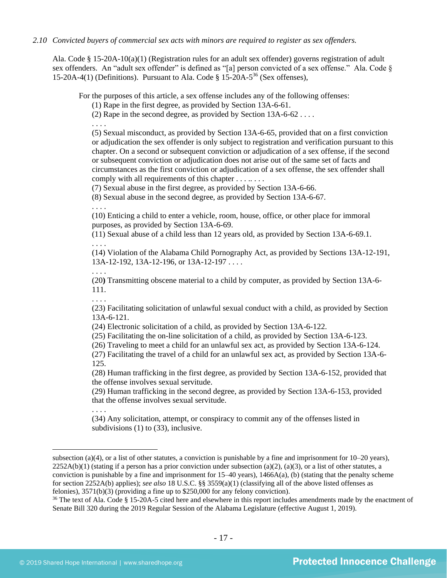#### *2.10 Convicted buyers of commercial sex acts with minors are required to register as sex offenders.*

Ala. Code § 15-20A-10(a)(1) (Registration rules for an adult sex offender) governs registration of adult sex offenders. An "adult sex offender" is defined as "[a] person convicted of a sex offense." Ala. Code § 15-20A-4(1) (Definitions). Pursuant to Ala. Code  $\S 15$ -20A-5<sup>36</sup> (Sex offenses),

For the purposes of this article, a sex offense includes any of the following offenses:

<span id="page-16-0"></span>(1) Rape in the first degree, as provided by Section 13A-6-61.

(2) Rape in the second degree, as provided by Section 13A-6-62 . . . .

. . . .

(5) Sexual misconduct, as provided by Section 13A-6-65, provided that on a first conviction or adjudication the sex offender is only subject to registration and verification pursuant to this chapter. On a second or subsequent conviction or adjudication of a sex offense, if the second or subsequent conviction or adjudication does not arise out of the same set of facts and circumstances as the first conviction or adjudication of a sex offense, the sex offender shall comply with all requirements of this chapter . . . . . . .

(7) Sexual abuse in the first degree, as provided by Section 13A-6-66.

(8) Sexual abuse in the second degree, as provided by Section 13A-6-67.

. . . .

(10) Enticing a child to enter a vehicle, room, house, office, or other place for immoral purposes, as provided by Section 13A-6-69.

(11) Sexual abuse of a child less than 12 years old, as provided by Section 13A-6-69.1. . . . .

(14) Violation of the Alabama Child Pornography Act, as provided by Sections 13A-12-191, 13A-12-192, 13A-12-196, or 13A-12-197 . . . .

. . . .

(20**)** Transmitting obscene material to a child by computer, as provided by Section 13A-6- 111.

. . . .

(23) Facilitating solicitation of unlawful sexual conduct with a child, as provided by Section 13A-6-121.

(24) Electronic solicitation of a child, as provided by Section 13A-6-122.

(25) Facilitating the on-line solicitation of a child, as provided by Section 13A-6-123.

(26) Traveling to meet a child for an unlawful sex act, as provided by Section 13A-6-124.

(27) Facilitating the travel of a child for an unlawful sex act, as provided by Section 13A-6- 125.

(28) Human trafficking in the first degree, as provided by Section 13A-6-152, provided that the offense involves sexual servitude.

(29) Human trafficking in the second degree, as provided by Section 13A-6-153, provided that the offense involves sexual servitude.

. . . .

(34) Any solicitation, attempt, or conspiracy to commit any of the offenses listed in subdivisions (1) to (33), inclusive.

subsection (a)(4), or a list of other statutes, a conviction is punishable by a fine and imprisonment for 10–20 years),  $2252A(b)(1)$  (stating if a person has a prior conviction under subsection (a)(2), (a)(3), or a list of other statutes, a conviction is punishable by a fine and imprisonment for  $15-40$  years),  $1466A(a)$ , (b) (stating that the penalty scheme for section 2252A(b) applies); *see also* 18 U.S.C. §§ 3559(a)(1) (classifying all of the above listed offenses as felonies), 3571(b)(3) (providing a fine up to \$250,000 for any felony conviction).

 $36$  The text of Ala. Code § 15-20A-5 cited here and elsewhere in this report includes amendments made by the enactment of Senate Bill 320 during the 2019 Regular Session of the Alabama Legislature (effective August 1, 2019).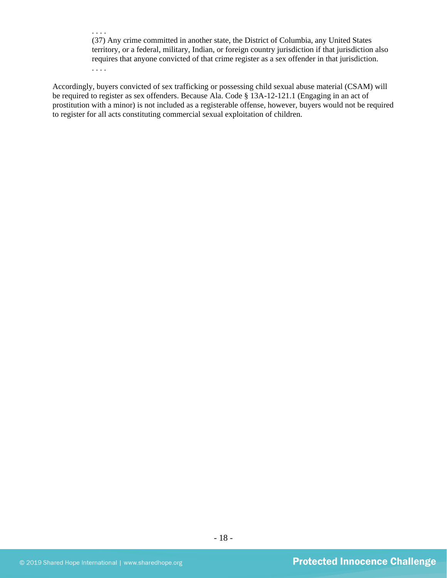. . . . (37) Any crime committed in another state, the District of Columbia, any United States territory, or a federal, military, Indian, or foreign country jurisdiction if that jurisdiction also requires that anyone convicted of that crime register as a sex offender in that jurisdiction. . . . .

Accordingly, buyers convicted of sex trafficking or possessing child sexual abuse material (CSAM) will be required to register as sex offenders. Because Ala. Code § 13A-12-121.1 (Engaging in an act of prostitution with a minor) is not included as a registerable offense, however, buyers would not be required to register for all acts constituting commercial sexual exploitation of children.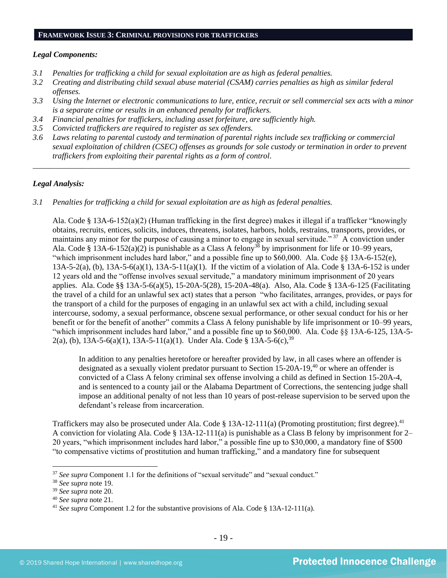#### **FRAMEWORK ISSUE 3: CRIMINAL PROVISIONS FOR TRAFFICKERS**

#### *Legal Components:*

- *3.1 Penalties for trafficking a child for sexual exploitation are as high as federal penalties.*
- *3.2 Creating and distributing child sexual abuse material (CSAM) carries penalties as high as similar federal offenses.*
- *3.3 Using the Internet or electronic communications to lure, entice, recruit or sell commercial sex acts with a minor is a separate crime or results in an enhanced penalty for traffickers.*
- *3.4 Financial penalties for traffickers, including asset forfeiture, are sufficiently high.*
- *3.5 Convicted traffickers are required to register as sex offenders.*
- *3.6 Laws relating to parental custody and termination of parental rights include sex trafficking or commercial sexual exploitation of children (CSEC) offenses as grounds for sole custody or termination in order to prevent traffickers from exploiting their parental rights as a form of control.*

*\_\_\_\_\_\_\_\_\_\_\_\_\_\_\_\_\_\_\_\_\_\_\_\_\_\_\_\_\_\_\_\_\_\_\_\_\_\_\_\_\_\_\_\_\_\_\_\_\_\_\_\_\_\_\_\_\_\_\_\_\_\_\_\_\_\_\_\_\_\_\_\_\_\_\_\_\_\_\_\_\_\_\_\_\_\_\_\_\_\_\_\_\_\_*

#### *Legal Analysis:*

*3.1 Penalties for trafficking a child for sexual exploitation are as high as federal penalties.* 

Ala. Code § 13A-6-152(a)(2) (Human trafficking in the first degree) makes it illegal if a trafficker "knowingly obtains, recruits, entices, solicits, induces, threatens, isolates, harbors, holds, restrains, transports, provides, or maintains any minor for the purpose of causing a minor to engage in sexual servitude."<sup>37</sup> A conviction under Ala. Code § 13A-6-152(a)(2) is punishable as a Class A felony<sup>38</sup> by imprisonment for life or 10–99 years, "which imprisonment includes hard labor," and a possible fine up to \$60,000. Ala. Code §§ 13A-6-152(e), 13A-5-2(a), (b), 13A-5-6(a)(1), 13A-5-11(a)(1). If the victim of a violation of Ala. Code § 13A-6-152 is under 12 years old and the "offense involves sexual servitude," a mandatory minimum imprisonment of 20 years applies. Ala. Code §§ 13A-5-6(a)(5), 15-20A-5(28), 15-20A-48(a). Also, Ala. Code § 13A-6-125 (Facilitating the travel of a child for an unlawful sex act) states that a person "who facilitates, arranges, provides, or pays for the transport of a child for the purposes of engaging in an unlawful sex act with a child, including sexual intercourse, sodomy, a sexual performance, obscene sexual performance, or other sexual conduct for his or her benefit or for the benefit of another" commits a Class A felony punishable by life imprisonment or 10–99 years, "which imprisonment includes hard labor," and a possible fine up to \$60,000. Ala. Code §§ 13A-6-125, 13A-5- 2(a), (b), 13A-5-6(a)(1), 13A-5-11(a)(1). Under Ala. Code § 13A-5-6(c),  $39$ 

In addition to any penalties heretofore or hereafter provided by law, in all cases where an offender is designated as a sexually violent predator pursuant to Section 15-20A-19,<sup>40</sup> or where an offender is convicted of a Class A felony criminal sex offense involving a child as defined in Section 15-20A-4, and is sentenced to a county jail or the Alabama Department of Corrections, the sentencing judge shall impose an additional penalty of not less than 10 years of post-release supervision to be served upon the defendant's release from incarceration.

Traffickers may also be prosecuted under Ala. Code  $\S 13A-12-111(a)$  (Promoting prostitution; first degree).<sup>41</sup> A conviction for violating Ala. Code § 13A-12-111(a) is punishable as a Class B felony by imprisonment for 2– 20 years, "which imprisonment includes hard labor," a possible fine up to \$30,000, a mandatory fine of \$500 "to compensative victims of prostitution and human trafficking," and a mandatory fine for subsequent

<sup>&</sup>lt;sup>37</sup> See supra Component 1.1 for the definitions of "sexual servitude" and "sexual conduct."

<sup>38</sup> *See supra* note [19.](#page-11-0)

<sup>39</sup> *See supra* note [20.](#page-11-1)

<sup>40</sup> *See supra* note [21.](#page-11-2)

<sup>41</sup> *See supra* Component 1.2 for the substantive provisions of Ala. Code § 13A-12-111(a).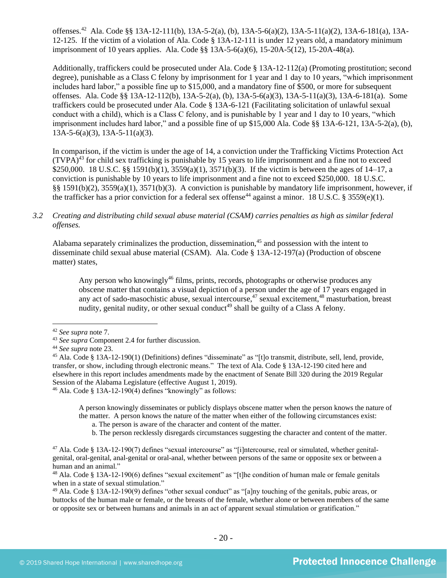offenses. 42 Ala. Code §§ 13A-12-111(b), 13A-5-2(a), (b), 13A-5-6(a)(2), 13A-5-11(a)(2), 13A-6-181(a), 13A-12-125. If the victim of a violation of Ala. Code § 13A-12-111 is under 12 years old, a mandatory minimum imprisonment of 10 years applies. Ala. Code §§ 13A-5-6(a)(6), 15-20A-5(12), 15-20A-48(a).

Additionally, traffickers could be prosecuted under Ala. Code § 13A-12-112(a) (Promoting prostitution; second degree), punishable as a Class C felony by imprisonment for 1 year and 1 day to 10 years, "which imprisonment includes hard labor," a possible fine up to \$15,000, and a mandatory fine of \$500, or more for subsequent offenses. Ala. Code §§ 13A-12-112(b), 13A-5-2(a), (b), 13A-5-6(a)(3), 13A-5-11(a)(3), 13A-6-181(a). Some traffickers could be prosecuted under Ala. Code § 13A-6-121 (Facilitating solicitation of unlawful sexual conduct with a child), which is a Class C felony, and is punishable by 1 year and 1 day to 10 years, "which imprisonment includes hard labor," and a possible fine of up \$15,000 Ala. Code §§ 13A-6-121, 13A-5-2(a), (b), 13A-5-6(a)(3), 13A-5-11(a)(3).

In comparison, if the victim is under the age of 14, a conviction under the Trafficking Victims Protection Act  $(TVPA)<sup>43</sup>$  for child sex trafficking is punishable by 15 years to life imprisonment and a fine not to exceed \$250,000. 18 U.S.C. §§ 1591(b)(1), 3559(a)(1), 3571(b)(3). If the victim is between the ages of 14–17, a conviction is punishable by 10 years to life imprisonment and a fine not to exceed \$250,000. 18 U.S.C. §§ 1591(b)(2), 3559(a)(1), 3571(b)(3). A conviction is punishable by mandatory life imprisonment, however, if the trafficker has a prior conviction for a federal sex offense<sup>44</sup> against a minor. 18 U.S.C. § 3559(e)(1).

# *3.2 Creating and distributing child sexual abuse material (CSAM) carries penalties as high as similar federal offenses.*

Alabama separately criminalizes the production, dissemination,<sup>45</sup> and possession with the intent to disseminate child sexual abuse material (CSAM). Ala. Code § 13A-12-197(a) (Production of obscene matter) states,

<span id="page-19-4"></span><span id="page-19-3"></span><span id="page-19-2"></span><span id="page-19-1"></span><span id="page-19-0"></span>Any person who knowingly<sup>46</sup> films, prints, records, photographs or otherwise produces any obscene matter that contains a visual depiction of a person under the age of 17 years engaged in any act of sado-masochistic abuse, sexual intercourse,<sup>47</sup> sexual excitement,<sup>48</sup> masturbation, breast nudity, genital nudity, or other sexual conduct<sup>49</sup> shall be guilty of a Class A felony.

 $46$  Ala. Code § 13A-12-190(4) defines "knowingly" as follows:

A person knowingly disseminates or publicly displays obscene matter when the person knows the nature of the matter. A person knows the nature of the matter when either of the following circumstances exist:

a. The person is aware of the character and content of the matter.

b. The person recklessly disregards circumstances suggesting the character and content of the matter.

<sup>42</sup> *See supra* note [7.](#page-3-0)

<sup>43</sup> *See supra* Component 2.4 for further discussion.

<sup>44</sup> *See supra* note [23.](#page-11-3) 

<sup>45</sup> Ala. Code § 13A-12-190(1) (Definitions) defines "disseminate" as "[t]o transmit, distribute, sell, lend, provide, transfer, or show, including through electronic means." The text of Ala. Code § 13A-12-190 cited here and elsewhere in this report includes amendments made by the enactment of Senate Bill 320 during the 2019 Regular Session of the Alabama Legislature (effective August 1, 2019).

<sup>&</sup>lt;sup>47</sup> Ala. Code § 13A-12-190(7) defines "sexual intercourse" as "[i]ntercourse, real or simulated, whether genitalgenital, oral-genital, anal-genital or oral-anal, whether between persons of the same or opposite sex or between a human and an animal."

<sup>&</sup>lt;sup>48</sup> Ala. Code § 13A-12-190(6) defines "sexual excitement" as "[t]he condition of human male or female genitals when in a state of sexual stimulation."

<sup>49</sup> Ala. Code § 13A-12-190(9) defines "other sexual conduct" as "[a]ny touching of the genitals, pubic areas, or buttocks of the human male or female, or the breasts of the female, whether alone or between members of the same or opposite sex or between humans and animals in an act of apparent sexual stimulation or gratification."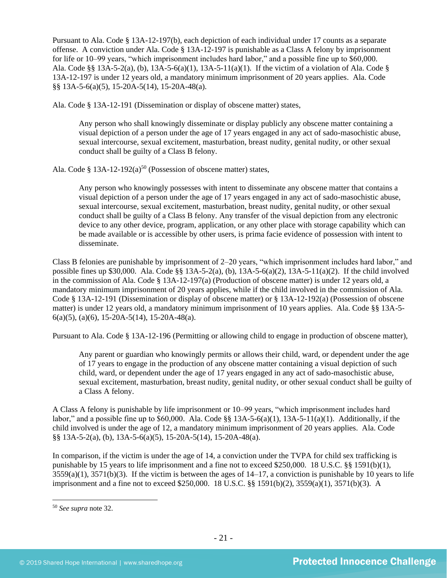Pursuant to Ala. Code § 13A-12-197(b), each depiction of each individual under 17 counts as a separate offense. A conviction under Ala. Code § 13A-12-197 is punishable as a Class A felony by imprisonment for life or 10–99 years, "which imprisonment includes hard labor," and a possible fine up to \$60,000. Ala. Code §§ 13A-5-2(a), (b), 13A-5-6(a)(1), 13A-5-11(a)(1). If the victim of a violation of Ala. Code § 13A-12-197 is under 12 years old, a mandatory minimum imprisonment of 20 years applies. Ala. Code §§ 13A-5-6(a)(5), 15-20A-5(14), 15-20A-48(a).

Ala. Code § 13A-12-191 (Dissemination or display of obscene matter) states,

Any person who shall knowingly disseminate or display publicly any obscene matter containing a visual depiction of a person under the age of 17 years engaged in any act of sado-masochistic abuse, sexual intercourse, sexual excitement, masturbation, breast nudity, genital nudity, or other sexual conduct shall be guilty of a Class B felony.

Ala. Code § 13A-12-192(a)<sup>50</sup> (Possession of obscene matter) states,

Any person who knowingly possesses with intent to disseminate any obscene matter that contains a visual depiction of a person under the age of 17 years engaged in any act of sado-masochistic abuse, sexual intercourse, sexual excitement, masturbation, breast nudity, genital nudity, or other sexual conduct shall be guilty of a Class B felony. Any transfer of the visual depiction from any electronic device to any other device, program, application, or any other place with storage capability which can be made available or is accessible by other users, is prima facie evidence of possession with intent to disseminate.

Class B felonies are punishable by imprisonment of 2–20 years, "which imprisonment includes hard labor," and possible fines up \$30,000. Ala. Code §§ 13A-5-2(a), (b), 13A-5-6(a)(2), 13A-5-11(a)(2). If the child involved in the commission of Ala. Code § 13A-12-197(a) (Production of obscene matter) is under 12 years old, a mandatory minimum imprisonment of 20 years applies, while if the child involved in the commission of Ala. Code § 13A-12-191 (Dissemination or display of obscene matter) or § 13A-12-192(a) (Possession of obscene matter) is under 12 years old, a mandatory minimum imprisonment of 10 years applies. Ala. Code §§ 13A-5- 6(a)(5), (a)(6), 15-20A-5(14), 15-20A-48(a).

Pursuant to Ala. Code § 13A-12-196 (Permitting or allowing child to engage in production of obscene matter),

Any parent or guardian who knowingly permits or allows their child, ward, or dependent under the age of 17 years to engage in the production of any obscene matter containing a visual depiction of such child, ward, or dependent under the age of 17 years engaged in any act of sado-masochistic abuse, sexual excitement, masturbation, breast nudity, genital nudity, or other sexual conduct shall be guilty of a Class A felony.

A Class A felony is punishable by life imprisonment or 10–99 years, "which imprisonment includes hard labor," and a possible fine up to  $$60,000$ . Ala. Code  $\$  13A-5-6(a)(1), 13A-5-11(a)(1). Additionally, if the child involved is under the age of 12, a mandatory minimum imprisonment of 20 years applies. Ala. Code §§ 13A-5-2(a), (b), 13A-5-6(a)(5), 15-20A-5(14), 15-20A-48(a).

In comparison, if the victim is under the age of 14, a conviction under the TVPA for child sex trafficking is punishable by 15 years to life imprisonment and a fine not to exceed \$250,000. 18 U.S.C. §§ 1591(b)(1),  $3559(a)(1)$ ,  $3571(b)(3)$ . If the victim is between the ages of  $14-17$ , a conviction is punishable by 10 years to life imprisonment and a fine not to exceed \$250,000. 18 U.S.C. §§ 1591(b)(2), 3559(a)(1), 3571(b)(3). A

<sup>50</sup> *See supra* note [32.](#page-15-0)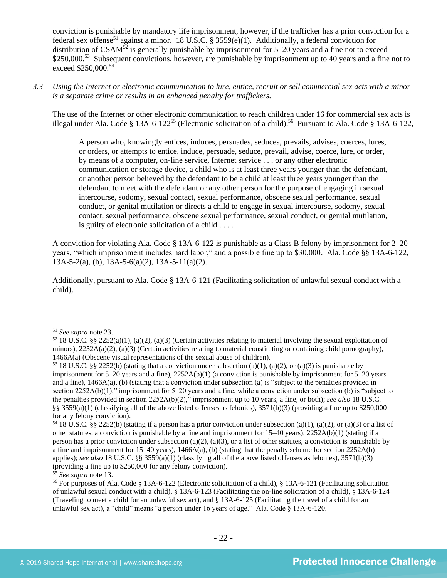conviction is punishable by mandatory life imprisonment, however, if the trafficker has a prior conviction for a federal sex offense<sup>51</sup> against a minor. 18 U.S.C. § 3559(e)(1). Additionally, a federal conviction for distribution of CSAM<sup>52</sup> is generally punishable by imprisonment for 5–20 years and a fine not to exceed \$250,000.<sup>53</sup> Subsequent convictions, however, are punishable by imprisonment up to 40 years and a fine not to exceed \$250,000.<sup>54</sup>

*3.3 Using the Internet or electronic communication to lure, entice, recruit or sell commercial sex acts with a minor is a separate crime or results in an enhanced penalty for traffickers.*

The use of the Internet or other electronic communication to reach children under 16 for commercial sex acts is illegal under Ala. Code § 13A-6-122<sup>55</sup> (Electronic solicitation of a child).<sup>56</sup> Pursuant to Ala. Code § 13A-6-122,

A person who, knowingly entices, induces, persuades, seduces, prevails, advises, coerces, lures, or orders, or attempts to entice, induce, persuade, seduce, prevail, advise, coerce, lure, or order, by means of a computer, on-line service, Internet service . . . or any other electronic communication or storage device, a child who is at least three years younger than the defendant, or another person believed by the defendant to be a child at least three years younger than the defendant to meet with the defendant or any other person for the purpose of engaging in sexual intercourse, sodomy, sexual contact, sexual performance, obscene sexual performance, sexual conduct, or genital mutilation or directs a child to engage in sexual intercourse, sodomy, sexual contact, sexual performance, obscene sexual performance, sexual conduct, or genital mutilation, is guilty of electronic solicitation of a child . . . .

A conviction for violating Ala. Code § 13A-6-122 is punishable as a Class B felony by imprisonment for 2–20 years, "which imprisonment includes hard labor," and a possible fine up to \$30,000. Ala. Code §§ 13A-6-122,  $13A-5-2(a)$ , (b),  $13A-5-6(a)(2)$ ,  $13A-5-11(a)(2)$ .

Additionally, pursuant to Ala. Code § 13A-6-121 (Facilitating solicitation of unlawful sexual conduct with a child),

<sup>51</sup> *See supra* note [23.](#page-11-3) 

 $52\,18$  U.S.C. §§ 2252(a)(1), (a)(2), (a)(3) (Certain activities relating to material involving the sexual exploitation of minors),  $2252A(a)(2)$ ,  $(a)(3)$  (Certain activities relating to material constituting or containing child pornography), 1466A(a) (Obscene visual representations of the sexual abuse of children).

<sup>&</sup>lt;sup>53</sup> 18 U.S.C. §§ 2252(b) (stating that a conviction under subsection (a)(1), (a)(2), or (a)(3) is punishable by imprisonment for 5–20 years and a fine), 2252A(b)(1) (a conviction is punishable by imprisonment for 5–20 years and a fine), 1466A(a), (b) (stating that a conviction under subsection (a) is "subject to the penalties provided in section 2252A(b)(1)," imprisonment for 5–20 years and a fine, while a conviction under subsection (b) is "subject to the penalties provided in section 2252A(b)(2)," imprisonment up to 10 years, a fine, or both); *see also* 18 U.S.C. §§ 3559(a)(1) (classifying all of the above listed offenses as felonies),  $3571(b)(3)$  (providing a fine up to \$250,000 for any felony conviction).

<sup>&</sup>lt;sup>54</sup> 18 U.S.C. §§ 2252(b) (stating if a person has a prior conviction under subsection (a)(1), (a)(2), or (a)(3) or a list of other statutes, a conviction is punishable by a fine and imprisonment for 15–40 years), 2252A(b)(1) (stating if a person has a prior conviction under subsection (a)(2), (a)(3), or a list of other statutes, a conviction is punishable by a fine and imprisonment for 15–40 years), 1466A(a), (b) (stating that the penalty scheme for section 2252A(b) applies); *see also* 18 U.S.C. §§ 3559(a)(1) (classifying all of the above listed offenses as felonies), 3571(b)(3) (providing a fine up to \$250,000 for any felony conviction).

<sup>55</sup> *See supra* note [13.](#page-7-0)

<sup>56</sup> For purposes of Ala. Code § 13A-6-122 (Electronic solicitation of a child), § 13A-6-121 (Facilitating solicitation of unlawful sexual conduct with a child), § 13A-6-123 (Facilitating the on-line solicitation of a child), § 13A-6-124 (Traveling to meet a child for an unlawful sex act), and § 13A-6-125 (Facilitating the travel of a child for an unlawful sex act), a "child" means "a person under 16 years of age." Ala. Code § 13A-6-120.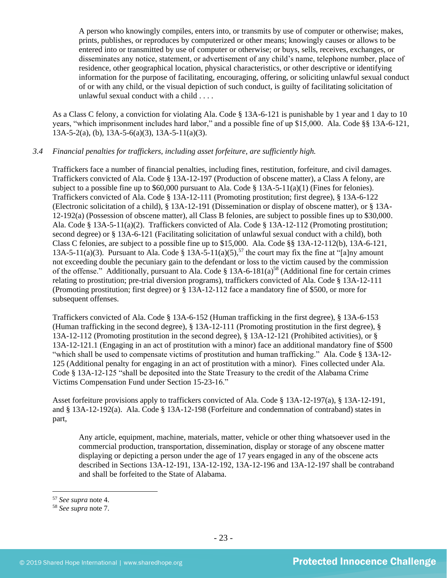A person who knowingly compiles, enters into, or transmits by use of computer or otherwise; makes, prints, publishes, or reproduces by computerized or other means; knowingly causes or allows to be entered into or transmitted by use of computer or otherwise; or buys, sells, receives, exchanges, or disseminates any notice, statement, or advertisement of any child's name, telephone number, place of residence, other geographical location, physical characteristics, or other descriptive or identifying information for the purpose of facilitating, encouraging, offering, or soliciting unlawful sexual conduct of or with any child, or the visual depiction of such conduct, is guilty of facilitating solicitation of unlawful sexual conduct with a child . . . .

As a Class C felony, a conviction for violating Ala. Code § 13A-6-121 is punishable by 1 year and 1 day to 10 years, "which imprisonment includes hard labor," and a possible fine of up \$15,000. Ala. Code §§ 13A-6-121,  $13A-5-2(a)$ , (b),  $13A-5-6(a)(3)$ ,  $13A-5-11(a)(3)$ .

# *3.4 Financial penalties for traffickers, including asset forfeiture, are sufficiently high.*

Traffickers face a number of financial penalties, including fines, restitution, forfeiture, and civil damages. Traffickers convicted of Ala. Code § 13A-12-197 (Production of obscene matter), a Class A felony, are subject to a possible fine up to  $$60,000$  pursuant to Ala. Code  $$13A-5-11(a)(1)$  (Fines for felonies). Traffickers convicted of Ala. Code § 13A-12-111 (Promoting prostitution; first degree), § 13A-6-122 (Electronic solicitation of a child), § 13A-12-191 (Dissemination or display of obscene matter), or § 13A-12-192(a) (Possession of obscene matter), all Class B felonies, are subject to possible fines up to \$30,000. Ala. Code § 13A-5-11(a)(2). Traffickers convicted of Ala. Code § 13A-12-112 (Promoting prostitution; second degree) or § 13A-6-121 (Facilitating solicitation of unlawful sexual conduct with a child), both Class C felonies, are subject to a possible fine up to \$15,000. Ala. Code §§ 13A-12-112(b), 13A-6-121, 13A-5-11(a)(3). Pursuant to Ala. Code § 13A-5-11(a)(5),<sup>57</sup> the court may fix the fine at "[a]ny amount not exceeding double the pecuniary gain to the defendant or loss to the victim caused by the commission of the offense." Additionally, pursuant to Ala. Code  $\S$  13A-6-181(a)<sup>58</sup> (Additional fine for certain crimes relating to prostitution; pre-trial diversion programs), traffickers convicted of Ala. Code § 13A-12-111 (Promoting prostitution; first degree) or § 13A-12-112 face a mandatory fine of \$500, or more for subsequent offenses.

Traffickers convicted of Ala. Code § 13A-6-152 (Human trafficking in the first degree), § 13A-6-153 (Human trafficking in the second degree), § 13A-12-111 (Promoting prostitution in the first degree), § 13A-12-112 (Promoting prostitution in the second degree), § 13A-12-121 (Prohibited activities), or § 13A-12-121.1 (Engaging in an act of prostitution with a minor) face an additional mandatory fine of \$500 "which shall be used to compensate victims of prostitution and human trafficking." Ala. Code § 13A-12- 125 (Additional penalty for engaging in an act of prostitution with a minor). Fines collected under Ala. Code § 13A-12-125 "shall be deposited into the State Treasury to the credit of the Alabama Crime Victims Compensation Fund under Section 15-23-16."

Asset forfeiture provisions apply to traffickers convicted of Ala. Code § 13A-12-197(a), § 13A-12-191, and § 13A-12-192(a). Ala. Code § 13A-12-198 (Forfeiture and condemnation of contraband) states in part,

Any article, equipment, machine, materials, matter, vehicle or other thing whatsoever used in the commercial production, transportation, dissemination, display or storage of any obscene matter displaying or depicting a person under the age of 17 years engaged in any of the obscene acts described in Sections 13A-12-191, 13A-12-192, 13A-12-196 and 13A-12-197 shall be contraband and shall be forfeited to the State of Alabama.

<sup>57</sup> *See supra* note [4.](#page-2-0)

<sup>58</sup> *See supra* note [7.](#page-3-0)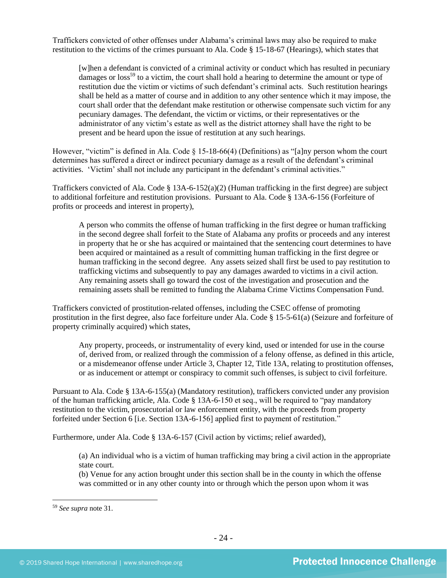Traffickers convicted of other offenses under Alabama's criminal laws may also be required to make restitution to the victims of the crimes pursuant to Ala. Code § 15-18-67 (Hearings), which states that

[w]hen a defendant is convicted of a criminal activity or conduct which has resulted in pecuniary damages or  $loss^{59}$  to a victim, the court shall hold a hearing to determine the amount or type of restitution due the victim or victims of such defendant's criminal acts. Such restitution hearings shall be held as a matter of course and in addition to any other sentence which it may impose, the court shall order that the defendant make restitution or otherwise compensate such victim for any pecuniary damages. The defendant, the victim or victims, or their representatives or the administrator of any victim's estate as well as the district attorney shall have the right to be present and be heard upon the issue of restitution at any such hearings.

However, "victim" is defined in Ala. Code § 15-18-66(4) (Definitions) as "[a]ny person whom the court determines has suffered a direct or indirect pecuniary damage as a result of the defendant's criminal activities. 'Victim' shall not include any participant in the defendant's criminal activities."

Traffickers convicted of Ala. Code  $\S 13A-6-152(a)(2)$  (Human trafficking in the first degree) are subject to additional forfeiture and restitution provisions. Pursuant to Ala. Code § 13A-6-156 (Forfeiture of profits or proceeds and interest in property),

A person who commits the offense of human trafficking in the first degree or human trafficking in the second degree shall forfeit to the State of Alabama any profits or proceeds and any interest in property that he or she has acquired or maintained that the sentencing court determines to have been acquired or maintained as a result of committing human trafficking in the first degree or human trafficking in the second degree. Any assets seized shall first be used to pay restitution to trafficking victims and subsequently to pay any damages awarded to victims in a civil action. Any remaining assets shall go toward the cost of the investigation and prosecution and the remaining assets shall be remitted to funding the Alabama Crime Victims Compensation Fund.

Traffickers convicted of prostitution-related offenses, including the CSEC offense of promoting prostitution in the first degree, also face forfeiture under Ala. Code § 15-5-61(a) (Seizure and forfeiture of property criminally acquired) which states,

Any property, proceeds, or instrumentality of every kind, used or intended for use in the course of, derived from, or realized through the commission of a felony offense, as defined in this article, or a misdemeanor offense under Article 3, Chapter 12, Title 13A, relating to prostitution offenses, or as inducement or attempt or conspiracy to commit such offenses, is subject to civil forfeiture.

Pursuant to Ala. Code § 13A-6-155(a) (Mandatory restitution), traffickers convicted under any provision of the human trafficking article, Ala. Code § 13A-6-150 et seq., will be required to "pay mandatory restitution to the victim, prosecutorial or law enforcement entity, with the proceeds from property forfeited under Section 6 [i.e. Section 13A-6-156] applied first to payment of restitution."

Furthermore, under Ala. Code § 13A-6-157 (Civil action by victims; relief awarded),

(a) An individual who is a victim of human trafficking may bring a civil action in the appropriate state court.

(b) Venue for any action brought under this section shall be in the county in which the offense was committed or in any other county into or through which the person upon whom it was

<sup>59</sup> *See supra* note [31.](#page-15-1)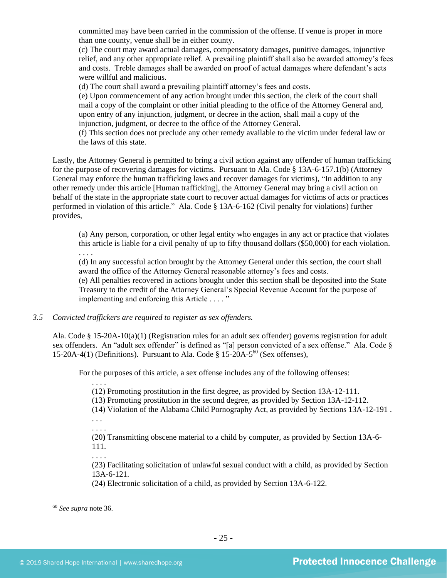committed may have been carried in the commission of the offense. If venue is proper in more than one county, venue shall be in either county.

(c) The court may award actual damages, compensatory damages, punitive damages, injunctive relief, and any other appropriate relief. A prevailing plaintiff shall also be awarded attorney's fees and costs. Treble damages shall be awarded on proof of actual damages where defendant's acts were willful and malicious.

(d) The court shall award a prevailing plaintiff attorney's fees and costs.

(e) Upon commencement of any action brought under this section, the clerk of the court shall mail a copy of the complaint or other initial pleading to the office of the Attorney General and, upon entry of any injunction, judgment, or decree in the action, shall mail a copy of the injunction, judgment, or decree to the office of the Attorney General.

(f) This section does not preclude any other remedy available to the victim under federal law or the laws of this state.

Lastly, the Attorney General is permitted to bring a civil action against any offender of human trafficking for the purpose of recovering damages for victims. Pursuant to Ala. Code § 13A-6-157.1(b) (Attorney General may enforce the human trafficking laws and recover damages for victims), "In addition to any other remedy under this article [Human trafficking], the Attorney General may bring a civil action on behalf of the state in the appropriate state court to recover actual damages for victims of acts or practices performed in violation of this article." Ala. Code § 13A-6-162 (Civil penalty for violations) further provides,

(a) Any person, corporation, or other legal entity who engages in any act or practice that violates this article is liable for a civil penalty of up to fifty thousand dollars (\$50,000) for each violation. . . . .

(d) In any successful action brought by the Attorney General under this section, the court shall award the office of the Attorney General reasonable attorney's fees and costs.

(e) All penalties recovered in actions brought under this section shall be deposited into the State Treasury to the credit of the Attorney General's Special Revenue Account for the purpose of implementing and enforcing this Article . . . . "

*3.5 Convicted traffickers are required to register as sex offenders.*

Ala. Code § 15-20A-10(a)(1) (Registration rules for an adult sex offender) governs registration for adult sex offenders. An "adult sex offender" is defined as "[a] person convicted of a sex offense." Ala. Code § 15-20A-4(1) (Definitions). Pursuant to Ala. Code  $\S$  15-20A-5<sup>60</sup> (Sex offenses),

For the purposes of this article, a sex offense includes any of the following offenses:

(12) Promoting prostitution in the first degree, as provided by Section 13A-12-111.

(13) Promoting prostitution in the second degree, as provided by Section 13A-12-112.

(14) Violation of the Alabama Child Pornography Act, as provided by Sections 13A-12-191 . . . .

. . . .

. . . .

(20**)** Transmitting obscene material to a child by computer, as provided by Section 13A-6- 111.

. . . .

(23) Facilitating solicitation of unlawful sexual conduct with a child, as provided by Section 13A-6-121.

(24) Electronic solicitation of a child, as provided by Section 13A-6-122.

<sup>60</sup> *See supra* note [36.](#page-16-0)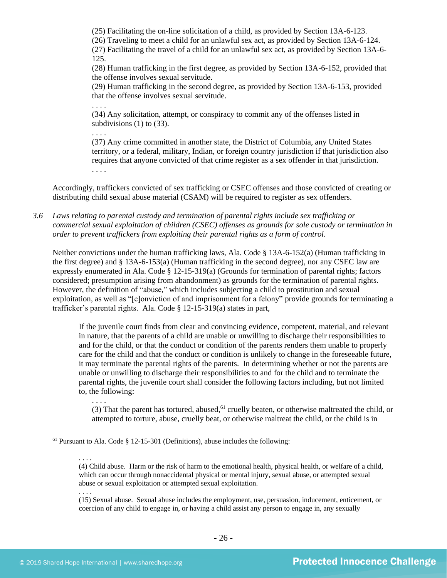(25) Facilitating the on-line solicitation of a child, as provided by Section 13A-6-123.

(26) Traveling to meet a child for an unlawful sex act, as provided by Section 13A-6-124.

(27) Facilitating the travel of a child for an unlawful sex act, as provided by Section 13A-6- 125.

(28) Human trafficking in the first degree, as provided by Section 13A-6-152, provided that the offense involves sexual servitude.

(29) Human trafficking in the second degree, as provided by Section 13A-6-153, provided that the offense involves sexual servitude.

. . . . (34) Any solicitation, attempt, or conspiracy to commit any of the offenses listed in subdivisions (1) to (33).

. . . .

(37) Any crime committed in another state, the District of Columbia, any United States territory, or a federal, military, Indian, or foreign country jurisdiction if that jurisdiction also requires that anyone convicted of that crime register as a sex offender in that jurisdiction. . . . .

Accordingly, traffickers convicted of sex trafficking or CSEC offenses and those convicted of creating or distributing child sexual abuse material (CSAM) will be required to register as sex offenders.

*3.6 Laws relating to parental custody and termination of parental rights include sex trafficking or commercial sexual exploitation of children (CSEC) offenses as grounds for sole custody or termination in order to prevent traffickers from exploiting their parental rights as a form of control.* 

Neither convictions under the human trafficking laws, Ala. Code § 13A-6-152(a) (Human trafficking in the first degree) and § 13A-6-153(a) (Human trafficking in the second degree), nor any CSEC law are expressly enumerated in Ala. Code § 12-15-319(a) (Grounds for termination of parental rights; factors considered; presumption arising from abandonment) as grounds for the termination of parental rights. However, the definition of "abuse," which includes subjecting a child to prostitution and sexual exploitation, as well as "[c]onviction of and imprisonment for a felony" provide grounds for terminating a trafficker's parental rights. Ala. Code § 12-15-319(a) states in part,

If the juvenile court finds from clear and convincing evidence, competent, material, and relevant in nature, that the parents of a child are unable or unwilling to discharge their responsibilities to and for the child, or that the conduct or condition of the parents renders them unable to properly care for the child and that the conduct or condition is unlikely to change in the foreseeable future, it may terminate the parental rights of the parents. In determining whether or not the parents are unable or unwilling to discharge their responsibilities to and for the child and to terminate the parental rights, the juvenile court shall consider the following factors including, but not limited to, the following:

(3) That the parent has tortured, abused, $61$  cruelly beaten, or otherwise maltreated the child, or attempted to torture, abuse, cruelly beat, or otherwise maltreat the child, or the child is in

. . . .

 $61$  Pursuant to Ala. Code § 12-15-301 (Definitions), abuse includes the following:

<sup>. . . .</sup> (4) Child abuse. Harm or the risk of harm to the emotional health, physical health, or welfare of a child, which can occur through nonaccidental physical or mental injury, sexual abuse, or attempted sexual abuse or sexual exploitation or attempted sexual exploitation.

<sup>(15)</sup> Sexual abuse. Sexual abuse includes the employment, use, persuasion, inducement, enticement, or coercion of any child to engage in, or having a child assist any person to engage in, any sexually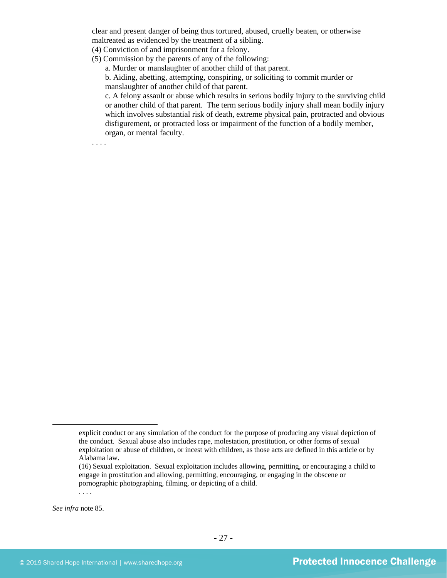clear and present danger of being thus tortured, abused, cruelly beaten, or otherwise maltreated as evidenced by the treatment of a sibling.

- (4) Conviction of and imprisonment for a felony.
- (5) Commission by the parents of any of the following:

a. Murder or manslaughter of another child of that parent.

b. Aiding, abetting, attempting, conspiring, or soliciting to commit murder or manslaughter of another child of that parent.

c. A felony assault or abuse which results in serious bodily injury to the surviving child or another child of that parent. The term serious bodily injury shall mean bodily injury which involves substantial risk of death, extreme physical pain, protracted and obvious disfigurement, or protracted loss or impairment of the function of a bodily member, organ, or mental faculty.

*See infra* note [85.](#page-35-0)

. . . .

explicit conduct or any simulation of the conduct for the purpose of producing any visual depiction of the conduct. Sexual abuse also includes rape, molestation, prostitution, or other forms of sexual exploitation or abuse of children, or incest with children, as those acts are defined in this article or by Alabama law.

<sup>(16)</sup> Sexual exploitation. Sexual exploitation includes allowing, permitting, or encouraging a child to engage in prostitution and allowing, permitting, encouraging, or engaging in the obscene or pornographic photographing, filming, or depicting of a child.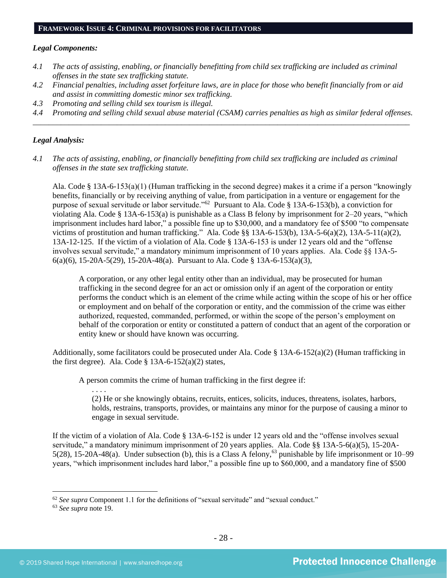#### **FRAMEWORK ISSUE 4: CRIMINAL PROVISIONS FOR FACILITATORS**

#### *Legal Components:*

- *4.1 The acts of assisting, enabling, or financially benefitting from child sex trafficking are included as criminal offenses in the state sex trafficking statute.*
- *4.2 Financial penalties, including asset forfeiture laws, are in place for those who benefit financially from or aid and assist in committing domestic minor sex trafficking.*
- *4.3 Promoting and selling child sex tourism is illegal.*
- *4.4 Promoting and selling child sexual abuse material (CSAM) carries penalties as high as similar federal offenses. \_\_\_\_\_\_\_\_\_\_\_\_\_\_\_\_\_\_\_\_\_\_\_\_\_\_\_\_\_\_\_\_\_\_\_\_\_\_\_\_\_\_\_\_\_\_\_\_\_\_\_\_\_\_\_\_\_\_\_\_\_\_\_\_\_\_\_\_\_\_\_\_\_\_\_\_\_\_\_\_\_\_\_\_\_\_\_\_\_\_\_\_\_\_*

# *Legal Analysis:*

*4.1 The acts of assisting, enabling, or financially benefitting from child sex trafficking are included as criminal offenses in the state sex trafficking statute.*

Ala. Code § 13A-6-153(a)(1) (Human trafficking in the second degree) makes it a crime if a person "knowingly benefits, financially or by receiving anything of value, from participation in a venture or engagement for the purpose of sexual servitude or labor servitude."<sup>62</sup> Pursuant to Ala. Code § 13A-6-153(b), a conviction for violating Ala. Code § 13A-6-153(a) is punishable as a Class B felony by imprisonment for 2–20 years, "which imprisonment includes hard labor," a possible fine up to \$30,000, and a mandatory fee of \$500 "to compensate victims of prostitution and human trafficking." Ala. Code §§ 13A-6-153(b), 13A-5-6(a)(2), 13A-5-11(a)(2), 13A-12-125. If the victim of a violation of Ala. Code § 13A-6-153 is under 12 years old and the "offense involves sexual servitude," a mandatory minimum imprisonment of 10 years applies. Ala. Code §§ 13A-5- 6(a)(6), 15-20A-5(29), 15-20A-48(a). Pursuant to Ala. Code § 13A-6-153(a)(3),

A corporation, or any other legal entity other than an individual, may be prosecuted for human trafficking in the second degree for an act or omission only if an agent of the corporation or entity performs the conduct which is an element of the crime while acting within the scope of his or her office or employment and on behalf of the corporation or entity, and the commission of the crime was either authorized, requested, commanded, performed, or within the scope of the person's employment on behalf of the corporation or entity or constituted a pattern of conduct that an agent of the corporation or entity knew or should have known was occurring.

Additionally, some facilitators could be prosecuted under Ala. Code  $\S$  13A-6-152(a)(2) (Human trafficking in the first degree). Ala. Code  $\S$  13A-6-152(a)(2) states,

A person commits the crime of human trafficking in the first degree if:

(2) He or she knowingly obtains, recruits, entices, solicits, induces, threatens, isolates, harbors, holds, restrains, transports, provides, or maintains any minor for the purpose of causing a minor to engage in sexual servitude.

If the victim of a violation of Ala. Code § 13A-6-152 is under 12 years old and the "offense involves sexual servitude," a mandatory minimum imprisonment of 20 years applies. Ala. Code §§ 13A-5-6(a)(5), 15-20A-5(28), 15-20A-48(a). Under subsection (b), this is a Class A felony,<sup>63</sup> punishable by life imprisonment or 10–99 years, "which imprisonment includes hard labor," a possible fine up to \$60,000, and a mandatory fine of \$500

<sup>62</sup> *See supra* Component 1.1 for the definitions of "sexual servitude" and "sexual conduct."

<sup>63</sup> *See supra* note [19.](#page-11-0)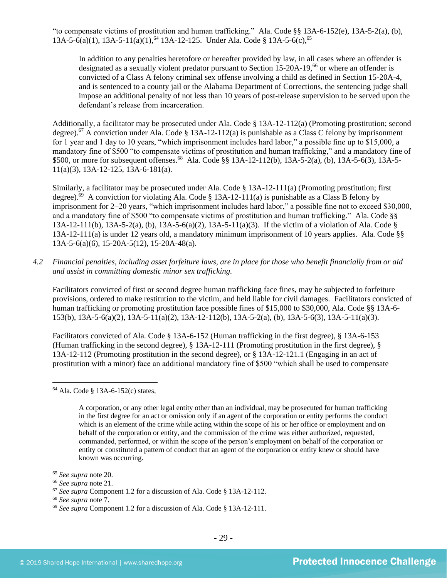"to compensate victims of prostitution and human trafficking." Ala. Code §§ 13A-6-152(e), 13A-5-2(a), (b), 13A-5-6(a)(1), 13A-5-11(a)(1),<sup>64</sup> 13A-12-125. Under Ala. Code § 13A-5-6(c),<sup>65</sup>

In addition to any penalties heretofore or hereafter provided by law, in all cases where an offender is designated as a sexually violent predator pursuant to Section 15-20A-19,<sup>66</sup> or where an offender is convicted of a Class A felony criminal sex offense involving a child as defined in Section 15-20A-4, and is sentenced to a county jail or the Alabama Department of Corrections, the sentencing judge shall impose an additional penalty of not less than 10 years of post-release supervision to be served upon the defendant's release from incarceration.

Additionally, a facilitator may be prosecuted under Ala. Code § 13A-12-112(a) (Promoting prostitution; second degree).<sup>67</sup> A conviction under Ala. Code § 13A-12-112(a) is punishable as a Class C felony by imprisonment for 1 year and 1 day to 10 years, "which imprisonment includes hard labor," a possible fine up to \$15,000, a mandatory fine of \$500 "to compensate victims of prostitution and human trafficking," and a mandatory fine of \$500, or more for subsequent offenses.<sup>68</sup> Ala. Code §§ 13A-12-112(b), 13A-5-2(a), (b), 13A-5-6(3), 13A-5-11(a)(3), 13A-12-125, 13A-6-181(a).

Similarly, a facilitator may be prosecuted under Ala. Code § 13A-12-111(a) (Promoting prostitution; first degree).<sup>69</sup> A conviction for violating Ala. Code § 13A-12-111(a) is punishable as a Class B felony by imprisonment for 2–20 years, "which imprisonment includes hard labor," a possible fine not to exceed \$30,000, and a mandatory fine of \$500 "to compensate victims of prostitution and human trafficking." Ala. Code §§ 13A-12-111(b), 13A-5-2(a), (b), 13A-5-6(a)(2), 13A-5-11(a)(3). If the victim of a violation of Ala. Code § 13A-12-111(a) is under 12 years old, a mandatory minimum imprisonment of 10 years applies. Ala. Code §§ 13A-5-6(a)(6), 15-20A-5(12), 15-20A-48(a).

*4.2 Financial penalties, including asset forfeiture laws, are in place for those who benefit financially from or aid and assist in committing domestic minor sex trafficking.*

Facilitators convicted of first or second degree human trafficking face fines, may be subjected to forfeiture provisions, ordered to make restitution to the victim, and held liable for civil damages. Facilitators convicted of human trafficking or promoting prostitution face possible fines of \$15,000 to \$30,000, Ala. Code §§ 13A-6-153(b), 13A-5-6(a)(2), 13A-5-11(a)(2), 13A-12-112(b), 13A-5-2(a), (b), 13A-5-6(3), 13A-5-11(a)(3).

Facilitators convicted of Ala. Code § 13A-6-152 (Human trafficking in the first degree), § 13A-6-153 (Human trafficking in the second degree), § 13A-12-111 (Promoting prostitution in the first degree), § 13A-12-112 (Promoting prostitution in the second degree), or § 13A-12-121.1 (Engaging in an act of prostitution with a minor) face an additional mandatory fine of \$500 "which shall be used to compensate

<sup>64</sup> Ala. Code § 13A-6-152(c) states,

A corporation, or any other legal entity other than an individual, may be prosecuted for human trafficking in the first degree for an act or omission only if an agent of the corporation or entity performs the conduct which is an element of the crime while acting within the scope of his or her office or employment and on behalf of the corporation or entity, and the commission of the crime was either authorized, requested, commanded, performed, or within the scope of the person's employment on behalf of the corporation or entity or constituted a pattern of conduct that an agent of the corporation or entity knew or should have known was occurring.

<sup>65</sup> *See supra* note [20.](#page-11-1)

<sup>66</sup> *See supra* note [21.](#page-11-2)

<sup>67</sup> *See supra* Component 1.2 for a discussion of Ala. Code § 13A-12-112.

<sup>68</sup> *See supra* note [7.](#page-3-0)

<sup>69</sup> *See supra* Component 1.2 for a discussion of Ala. Code § 13A-12-111.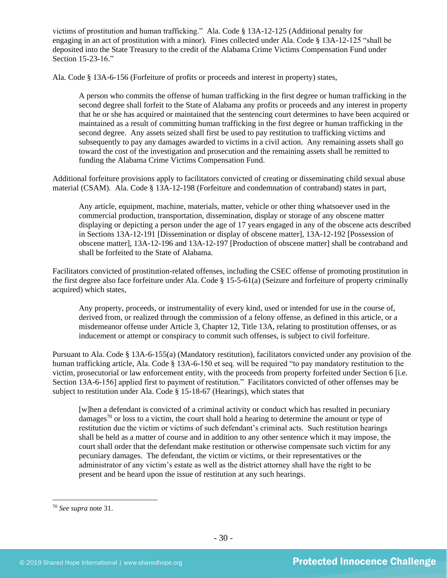victims of prostitution and human trafficking." Ala. Code § 13A-12-125 (Additional penalty for engaging in an act of prostitution with a minor). Fines collected under Ala. Code § 13A-12-125 "shall be deposited into the State Treasury to the credit of the Alabama Crime Victims Compensation Fund under Section 15-23-16."

Ala. Code § 13A-6-156 (Forfeiture of profits or proceeds and interest in property) states,

A person who commits the offense of human trafficking in the first degree or human trafficking in the second degree shall forfeit to the State of Alabama any profits or proceeds and any interest in property that he or she has acquired or maintained that the sentencing court determines to have been acquired or maintained as a result of committing human trafficking in the first degree or human trafficking in the second degree. Any assets seized shall first be used to pay restitution to trafficking victims and subsequently to pay any damages awarded to victims in a civil action. Any remaining assets shall go toward the cost of the investigation and prosecution and the remaining assets shall be remitted to funding the Alabama Crime Victims Compensation Fund.

Additional forfeiture provisions apply to facilitators convicted of creating or disseminating child sexual abuse material (CSAM). Ala. Code § 13A-12-198 (Forfeiture and condemnation of contraband) states in part,

Any article, equipment, machine, materials, matter, vehicle or other thing whatsoever used in the commercial production, transportation, dissemination, display or storage of any obscene matter displaying or depicting a person under the age of 17 years engaged in any of the obscene acts described in Sections 13A-12-191 [Dissemination or display of obscene matter], 13A-12-192 [Possession of obscene matter], 13A-12-196 and 13A-12-197 [Production of obscene matter] shall be contraband and shall be forfeited to the State of Alabama.

Facilitators convicted of prostitution-related offenses, including the CSEC offense of promoting prostitution in the first degree also face forfeiture under Ala. Code § 15-5-61(a) (Seizure and forfeiture of property criminally acquired) which states,

Any property, proceeds, or instrumentality of every kind, used or intended for use in the course of, derived from, or realized through the commission of a felony offense, as defined in this article, or a misdemeanor offense under Article 3, Chapter 12, Title 13A, relating to prostitution offenses, or as inducement or attempt or conspiracy to commit such offenses, is subject to civil forfeiture.

Pursuant to Ala. Code § 13A-6-155(a) (Mandatory restitution), facilitators convicted under any provision of the human trafficking article, Ala. Code § 13A-6-150 et seq. will be required "to pay mandatory restitution to the victim, prosecutorial or law enforcement entity, with the proceeds from property forfeited under Section 6 [i.e. Section 13A-6-156] applied first to payment of restitution." Facilitators convicted of other offenses may be subject to restitution under Ala. Code § 15-18-67 (Hearings), which states that

[w]hen a defendant is convicted of a criminal activity or conduct which has resulted in pecuniary damages<sup>70</sup> or loss to a victim, the court shall hold a hearing to determine the amount or type of restitution due the victim or victims of such defendant's criminal acts. Such restitution hearings shall be held as a matter of course and in addition to any other sentence which it may impose, the court shall order that the defendant make restitution or otherwise compensate such victim for any pecuniary damages. The defendant, the victim or victims, or their representatives or the administrator of any victim's estate as well as the district attorney shall have the right to be present and be heard upon the issue of restitution at any such hearings.

<sup>70</sup> *See supra* note [31.](#page-15-1)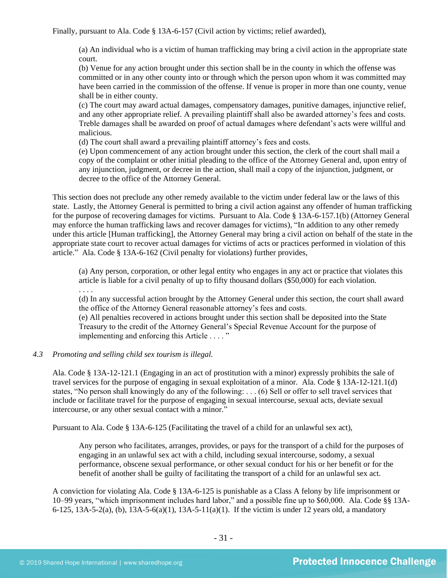Finally, pursuant to Ala. Code § 13A-6-157 (Civil action by victims; relief awarded),

(a) An individual who is a victim of human trafficking may bring a civil action in the appropriate state court.

(b) Venue for any action brought under this section shall be in the county in which the offense was committed or in any other county into or through which the person upon whom it was committed may have been carried in the commission of the offense. If venue is proper in more than one county, venue shall be in either county.

(c) The court may award actual damages, compensatory damages, punitive damages, injunctive relief, and any other appropriate relief. A prevailing plaintiff shall also be awarded attorney's fees and costs. Treble damages shall be awarded on proof of actual damages where defendant's acts were willful and malicious.

(d) The court shall award a prevailing plaintiff attorney's fees and costs.

(e) Upon commencement of any action brought under this section, the clerk of the court shall mail a copy of the complaint or other initial pleading to the office of the Attorney General and, upon entry of any injunction, judgment, or decree in the action, shall mail a copy of the injunction, judgment, or decree to the office of the Attorney General.

This section does not preclude any other remedy available to the victim under federal law or the laws of this state. Lastly, the Attorney General is permitted to bring a civil action against any offender of human trafficking for the purpose of recovering damages for victims. Pursuant to Ala. Code § 13A-6-157.1(b) (Attorney General may enforce the human trafficking laws and recover damages for victims), "In addition to any other remedy under this article [Human trafficking], the Attorney General may bring a civil action on behalf of the state in the appropriate state court to recover actual damages for victims of acts or practices performed in violation of this article." Ala. Code § 13A-6-162 (Civil penalty for violations) further provides,

(a) Any person, corporation, or other legal entity who engages in any act or practice that violates this article is liable for a civil penalty of up to fifty thousand dollars (\$50,000) for each violation.

. . . .

(d) In any successful action brought by the Attorney General under this section, the court shall award the office of the Attorney General reasonable attorney's fees and costs.

(e) All penalties recovered in actions brought under this section shall be deposited into the State Treasury to the credit of the Attorney General's Special Revenue Account for the purpose of implementing and enforcing this Article . . . . "

# *4.3 Promoting and selling child sex tourism is illegal.*

Ala. Code § 13A-12-121.1 (Engaging in an act of prostitution with a minor) expressly prohibits the sale of travel services for the purpose of engaging in sexual exploitation of a minor. Ala. Code § 13A-12-121.1(d) states, "No person shall knowingly do any of the following: . . . (6) Sell or offer to sell travel services that include or facilitate travel for the purpose of engaging in sexual intercourse, sexual acts, deviate sexual intercourse, or any other sexual contact with a minor."

Pursuant to Ala. Code § 13A-6-125 (Facilitating the travel of a child for an unlawful sex act),

Any person who facilitates, arranges, provides, or pays for the transport of a child for the purposes of engaging in an unlawful sex act with a child, including sexual intercourse, sodomy, a sexual performance, obscene sexual performance, or other sexual conduct for his or her benefit or for the benefit of another shall be guilty of facilitating the transport of a child for an unlawful sex act.

A conviction for violating Ala. Code § 13A-6-125 is punishable as a Class A felony by life imprisonment or 10–99 years, "which imprisonment includes hard labor," and a possible fine up to \$60,000. Ala. Code §§ 13A-6-125, 13A-5-2(a), (b), 13A-5-6(a)(1), 13A-5-11(a)(1). If the victim is under 12 years old, a mandatory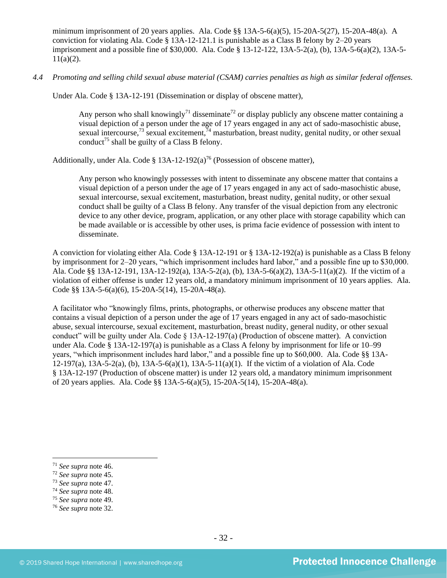minimum imprisonment of 20 years applies. Ala. Code §§  $13A-5-6(a)(5)$ ,  $15-20A-5(27)$ ,  $15-20A-48(a)$ . A conviction for violating Ala. Code  $\S$  13A-12-121.1 is punishable as a Class B felony by 2–20 years imprisonment and a possible fine of \$30,000. Ala. Code § 13-12-122, 13A-5-2(a), (b), 13A-5-6(a)(2), 13A-5-  $11(a)(2)$ .

*4.4 Promoting and selling child sexual abuse material (CSAM) carries penalties as high as similar federal offenses.*

Under Ala. Code § 13A-12-191 (Dissemination or display of obscene matter),

Any person who shall knowingly<sup>71</sup> disseminate<sup>72</sup> or display publicly any obscene matter containing a visual depiction of a person under the age of 17 years engaged in any act of sado-masochistic abuse, sexual intercourse,<sup>73</sup> sexual excitement,  $\frac{7}{4}$  masturbation, breast nudity, genital nudity, or other sexual conduct<sup>75</sup> shall be guilty of a Class B felony.

Additionally, under Ala. Code § 13A-12-192(a)<sup>76</sup> (Possession of obscene matter),

Any person who knowingly possesses with intent to disseminate any obscene matter that contains a visual depiction of a person under the age of 17 years engaged in any act of sado-masochistic abuse, sexual intercourse, sexual excitement, masturbation, breast nudity, genital nudity, or other sexual conduct shall be guilty of a Class B felony. Any transfer of the visual depiction from any electronic device to any other device, program, application, or any other place with storage capability which can be made available or is accessible by other uses, is prima facie evidence of possession with intent to disseminate.

A conviction for violating either Ala. Code § 13A-12-191 or § 13A-12-192(a) is punishable as a Class B felony by imprisonment for 2–20 years, "which imprisonment includes hard labor," and a possible fine up to \$30,000. Ala. Code §§ 13A-12-191, 13A-12-192(a), 13A-5-2(a), (b), 13A-5-6(a)(2), 13A-5-11(a)(2). If the victim of a violation of either offense is under 12 years old, a mandatory minimum imprisonment of 10 years applies. Ala. Code §§ 13A-5-6(a)(6), 15-20A-5(14), 15-20A-48(a).

A facilitator who "knowingly films, prints, photographs, or otherwise produces any obscene matter that contains a visual depiction of a person under the age of 17 years engaged in any act of sado-masochistic abuse, sexual intercourse, sexual excitement, masturbation, breast nudity, general nudity, or other sexual conduct" will be guilty under Ala. Code  $\S$  13A-12-197(a) (Production of obscene matter). A conviction under Ala. Code § 13A-12-197(a) is punishable as a Class A felony by imprisonment for life or 10–99 years, "which imprisonment includes hard labor," and a possible fine up to \$60,000. Ala. Code §§ 13A-12-197(a), 13A-5-2(a), (b), 13A-5-6(a)(1), 13A-5-11(a)(1). If the victim of a violation of Ala. Code § 13A-12-197 (Production of obscene matter) is under 12 years old, a mandatory minimum imprisonment of 20 years applies. Ala. Code §§ 13A-5-6(a)(5), 15-20A-5(14), 15-20A-48(a).

- <sup>73</sup> *See supra* note [47.](#page-19-2)
- <sup>74</sup> *See supra* note [48.](#page-19-3)
- <sup>75</sup> *See supra* note [49.](#page-19-4)

<sup>71</sup> *See supra* note [46.](#page-19-0) 

<sup>72</sup> *See supra* note [45.](#page-19-1) 

<sup>76</sup> *See supra* note [32.](#page-15-0)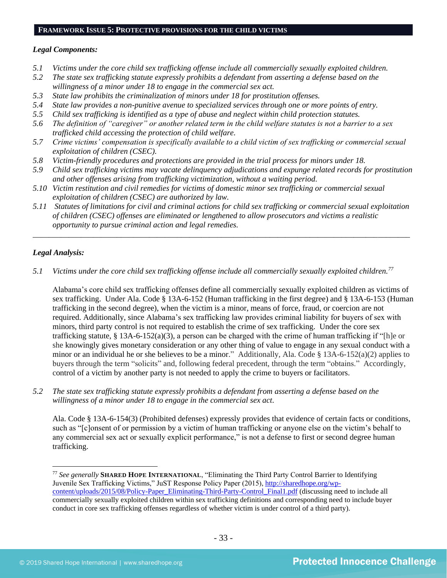# **FRAMEWORK ISSUE 5: PROTECTIVE PROVISIONS FOR THE CHILD VICTIMS**

#### *Legal Components:*

- *5.1 Victims under the core child sex trafficking offense include all commercially sexually exploited children.*
- *5.2 The state sex trafficking statute expressly prohibits a defendant from asserting a defense based on the willingness of a minor under 18 to engage in the commercial sex act.*
- *5.3 State law prohibits the criminalization of minors under 18 for prostitution offenses.*
- *5.4 State law provides a non-punitive avenue to specialized services through one or more points of entry.*
- *5.5 Child sex trafficking is identified as a type of abuse and neglect within child protection statutes.*
- *5.6 The definition of "caregiver" or another related term in the child welfare statutes is not a barrier to a sex trafficked child accessing the protection of child welfare.*
- *5.7 Crime victims' compensation is specifically available to a child victim of sex trafficking or commercial sexual exploitation of children (CSEC).*
- *5.8 Victim-friendly procedures and protections are provided in the trial process for minors under 18.*
- *5.9 Child sex trafficking victims may vacate delinquency adjudications and expunge related records for prostitution and other offenses arising from trafficking victimization, without a waiting period.*
- *5.10 Victim restitution and civil remedies for victims of domestic minor sex trafficking or commercial sexual exploitation of children (CSEC) are authorized by law.*
- *5.11 Statutes of limitations for civil and criminal actions for child sex trafficking or commercial sexual exploitation of children (CSEC) offenses are eliminated or lengthened to allow prosecutors and victims a realistic opportunity to pursue criminal action and legal remedies.*

*\_\_\_\_\_\_\_\_\_\_\_\_\_\_\_\_\_\_\_\_\_\_\_\_\_\_\_\_\_\_\_\_\_\_\_\_\_\_\_\_\_\_\_\_\_\_\_\_\_\_\_\_\_\_\_\_\_\_\_\_\_\_\_\_\_\_\_\_\_\_\_\_\_\_\_\_\_\_\_\_\_\_\_\_\_\_\_\_\_\_\_\_\_\_*

# *Legal Analysis:*

*5.1 Victims under the core child sex trafficking offense include all commercially sexually exploited children.<sup>77</sup>*

Alabama's core child sex trafficking offenses define all commercially sexually exploited children as victims of sex trafficking. Under Ala. Code § 13A-6-152 (Human trafficking in the first degree) and § 13A-6-153 (Human trafficking in the second degree), when the victim is a minor, means of force, fraud, or coercion are not required. Additionally, since Alabama's sex trafficking law provides criminal liability for buyers of sex with minors, third party control is not required to establish the crime of sex trafficking. Under the core sex trafficking statute, § 13A-6-152(a)(3), a person can be charged with the crime of human trafficking if "[h]e or she knowingly gives monetary consideration or any other thing of value to engage in any sexual conduct with a minor or an individual he or she believes to be a minor." Additionally, Ala. Code § 13A-6-152(a)(2) applies to buyers through the term "solicits" and, following federal precedent, through the term "obtains." Accordingly, control of a victim by another party is not needed to apply the crime to buyers or facilitators.

*5.2 The state sex trafficking statute expressly prohibits a defendant from asserting a defense based on the willingness of a minor under 18 to engage in the commercial sex act.*

Ala. Code § 13A-6-154(3) (Prohibited defenses) expressly provides that evidence of certain facts or conditions, such as "[c]onsent of or permission by a victim of human trafficking or anyone else on the victim's behalf to any commercial sex act or sexually explicit performance," is not a defense to first or second degree human trafficking.

<sup>77</sup> *See generally* **SHARED HOPE INTERNATIONAL**, "Eliminating the Third Party Control Barrier to Identifying Juvenile Sex Trafficking Victims," JuST Response Policy Paper (2015), [http://sharedhope.org/wp](http://sharedhope.org/wp-content/uploads/2015/08/Policy-Paper_Eliminating-Third-Party-Control_Final1.pdf)[content/uploads/2015/08/Policy-Paper\\_Eliminating-Third-Party-Control\\_Final1.pdf](http://sharedhope.org/wp-content/uploads/2015/08/Policy-Paper_Eliminating-Third-Party-Control_Final1.pdf) (discussing need to include all commercially sexually exploited children within sex trafficking definitions and corresponding need to include buyer conduct in core sex trafficking offenses regardless of whether victim is under control of a third party).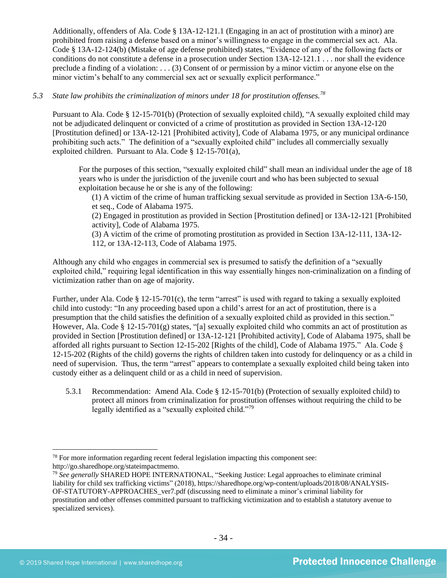Additionally, offenders of Ala. Code § 13A-12-121.1 (Engaging in an act of prostitution with a minor) are prohibited from raising a defense based on a minor's willingness to engage in the commercial sex act. Ala. Code § 13A-12-124(b) (Mistake of age defense prohibited) states, "Evidence of any of the following facts or conditions do not constitute a defense in a prosecution under Section 13A-12-121.1 . . . nor shall the evidence preclude a finding of a violation: . . . (3) Consent of or permission by a minor victim or anyone else on the minor victim's behalf to any commercial sex act or sexually explicit performance."

# *5.3 State law prohibits the criminalization of minors under 18 for prostitution offenses.<sup>78</sup>*

Pursuant to Ala. Code § 12-15-701(b) (Protection of sexually exploited child), "A sexually exploited child may not be adjudicated delinquent or convicted of a crime of prostitution as provided in Section 13A-12-120 [Prostitution defined] or 13A-12-121 [Prohibited activity], Code of Alabama 1975, or any municipal ordinance prohibiting such acts." The definition of a "sexually exploited child" includes all commercially sexually exploited children. Pursuant to Ala. Code § 12-15-701(a),

For the purposes of this section, "sexually exploited child" shall mean an individual under the age of 18 years who is under the jurisdiction of the juvenile court and who has been subjected to sexual exploitation because he or she is any of the following:

(1) A victim of the crime of human trafficking sexual servitude as provided in Section 13A-6-150, et seq., Code of Alabama 1975.

(2) Engaged in prostitution as provided in Section [Prostitution defined] or 13A-12-121 [Prohibited activity], Code of Alabama 1975.

(3) A victim of the crime of promoting prostitution as provided in Section 13A-12-111, 13A-12- 112, or 13A-12-113, Code of Alabama 1975.

Although any child who engages in commercial sex is presumed to satisfy the definition of a "sexually exploited child," requiring legal identification in this way essentially hinges non-criminalization on a finding of victimization rather than on age of majority.

Further, under Ala. Code  $\S$  12-15-701(c), the term "arrest" is used with regard to taking a sexually exploited child into custody: "In any proceeding based upon a child's arrest for an act of prostitution, there is a presumption that the child satisfies the definition of a sexually exploited child as provided in this section." However, Ala. Code § 12-15-701(g) states, "[a] sexually exploited child who commits an act of prostitution as provided in Section [Prostitution defined] or 13A-12-121 [Prohibited activity], Code of Alabama 1975, shall be afforded all rights pursuant to Section 12-15-202 [Rights of the child], Code of Alabama 1975." Ala. Code § 12-15-202 (Rights of the child) governs the rights of children taken into custody for delinquency or as a child in need of supervision. Thus, the term "arrest" appears to contemplate a sexually exploited child being taken into custody either as a delinquent child or as a child in need of supervision.

5.3.1 Recommendation: Amend Ala. Code § 12-15-701(b) (Protection of sexually exploited child) to protect all minors from criminalization for prostitution offenses without requiring the child to be legally identified as a "sexually exploited child."<sup>79</sup>

 $78$  For more information regarding recent federal legislation impacting this component see: http://go.sharedhope.org/stateimpactmemo.

<sup>79</sup> *See generally* SHARED HOPE INTERNATIONAL, "Seeking Justice: Legal approaches to eliminate criminal liability for child sex trafficking victims" (2018), https://sharedhope.org/wp-content/uploads/2018/08/ANALYSIS-OF-STATUTORY-APPROACHES\_ver7.pdf (discussing need to eliminate a minor's criminal liability for prostitution and other offenses committed pursuant to trafficking victimization and to establish a statutory avenue to specialized services).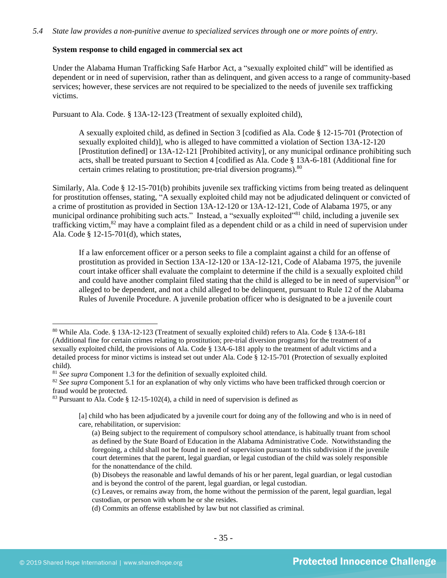### **System response to child engaged in commercial sex act**

Under the Alabama Human Trafficking Safe Harbor Act, a "sexually exploited child" will be identified as dependent or in need of supervision, rather than as delinquent, and given access to a range of community-based services; however, these services are not required to be specialized to the needs of juvenile sex trafficking victims.

Pursuant to Ala. Code. § 13A-12-123 (Treatment of sexually exploited child),

A sexually exploited child, as defined in Section 3 [codified as Ala. Code § 12-15-701 (Protection of sexually exploited child)], who is alleged to have committed a violation of Section 13A-12-120 [Prostitution defined] or 13A-12-121 [Prohibited activity], or any municipal ordinance prohibiting such acts, shall be treated pursuant to Section 4 [codified as Ala. Code § 13A-6-181 (Additional fine for certain crimes relating to prostitution; pre-trial diversion programs). 80

Similarly, Ala. Code § 12-15-701(b) prohibits juvenile sex trafficking victims from being treated as delinquent for prostitution offenses, stating, "A sexually exploited child may not be adjudicated delinquent or convicted of a crime of prostitution as provided in Section 13A-12-120 or 13A-12-121, Code of Alabama 1975, or any municipal ordinance prohibiting such acts." Instead, a "sexually exploited"<sup>81</sup> child, including a juvenile sex trafficking victim,<sup>82</sup> may have a complaint filed as a dependent child or as a child in need of supervision under Ala. Code § 12-15-701(d), which states,

If a law enforcement officer or a person seeks to file a complaint against a child for an offense of prostitution as provided in Section 13A-12-120 or 13A-12-121, Code of Alabama 1975, the juvenile court intake officer shall evaluate the complaint to determine if the child is a sexually exploited child and could have another complaint filed stating that the child is alleged to be in need of supervision<sup>83</sup> or alleged to be dependent, and not a child alleged to be delinquent, pursuant to Rule 12 of the Alabama Rules of Juvenile Procedure. A juvenile probation officer who is designated to be a juvenile court

<sup>80</sup> While Ala. Code. § 13A-12-123 (Treatment of sexually exploited child) refers to Ala. Code § 13A-6-181 (Additional fine for certain crimes relating to prostitution; pre-trial diversion programs) for the treatment of a sexually exploited child, the provisions of Ala. Code § 13A-6-181 apply to the treatment of adult victims and a detailed process for minor victims is instead set out under Ala. Code § 12-15-701 (Protection of sexually exploited child).

<sup>81</sup> *See supra* Component 1.3 for the definition of sexually exploited child.

<sup>&</sup>lt;sup>82</sup> See supra Component 5.1 for an explanation of why only victims who have been trafficked through coercion or fraud would be protected.

<sup>83</sup> Pursuant to Ala. Code § 12-15-102(4), a child in need of supervision is defined as

<sup>[</sup>a] child who has been adjudicated by a juvenile court for doing any of the following and who is in need of care, rehabilitation, or supervision:

<sup>(</sup>a) Being subject to the requirement of compulsory school attendance, is habitually truant from school as defined by the State Board of Education in the Alabama Administrative Code. Notwithstanding the foregoing, a child shall not be found in need of supervision pursuant to this subdivision if the juvenile court determines that the parent, legal guardian, or legal custodian of the child was solely responsible for the nonattendance of the child.

<sup>(</sup>b) Disobeys the reasonable and lawful demands of his or her parent, legal guardian, or legal custodian and is beyond the control of the parent, legal guardian, or legal custodian.

<sup>(</sup>c) Leaves, or remains away from, the home without the permission of the parent, legal guardian, legal custodian, or person with whom he or she resides.

<sup>(</sup>d) Commits an offense established by law but not classified as criminal.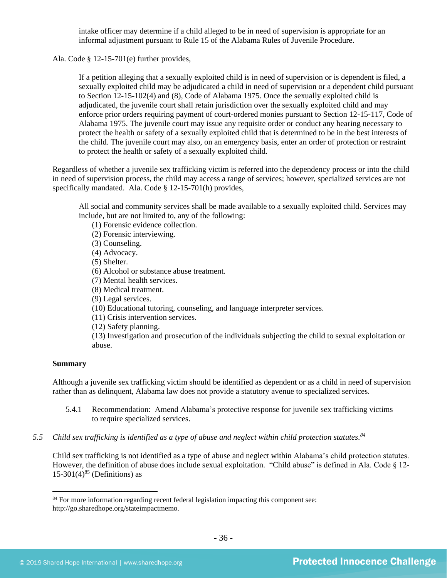intake officer may determine if a child alleged to be in need of supervision is appropriate for an informal adjustment pursuant to Rule 15 of the Alabama Rules of Juvenile Procedure.

Ala. Code § 12-15-701(e) further provides,

If a petition alleging that a sexually exploited child is in need of supervision or is dependent is filed, a sexually exploited child may be adjudicated a child in need of supervision or a dependent child pursuant to Section 12-15-102(4) and (8), Code of Alabama 1975. Once the sexually exploited child is adjudicated, the juvenile court shall retain jurisdiction over the sexually exploited child and may enforce prior orders requiring payment of court-ordered monies pursuant to Section 12-15-117, Code of Alabama 1975. The juvenile court may issue any requisite order or conduct any hearing necessary to protect the health or safety of a sexually exploited child that is determined to be in the best interests of the child. The juvenile court may also, on an emergency basis, enter an order of protection or restraint to protect the health or safety of a sexually exploited child.

Regardless of whether a juvenile sex trafficking victim is referred into the dependency process or into the child in need of supervision process, the child may access a range of services; however, specialized services are not specifically mandated. Ala. Code § 12-15-701(h) provides,

All social and community services shall be made available to a sexually exploited child. Services may include, but are not limited to, any of the following:

(1) Forensic evidence collection.

(2) Forensic interviewing.

(3) Counseling.

(4) Advocacy.

(5) Shelter.

(6) Alcohol or substance abuse treatment.

(7) Mental health services.

(8) Medical treatment.

(9) Legal services.

(10) Educational tutoring, counseling, and language interpreter services.

(11) Crisis intervention services.

(12) Safety planning.

(13) Investigation and prosecution of the individuals subjecting the child to sexual exploitation or abuse.

#### **Summary**

Although a juvenile sex trafficking victim should be identified as dependent or as a child in need of supervision rather than as delinquent, Alabama law does not provide a statutory avenue to specialized services.

- 5.4.1 Recommendation: Amend Alabama's protective response for juvenile sex trafficking victims to require specialized services.
- *5.5 Child sex trafficking is identified as a type of abuse and neglect within child protection statutes. 84*

<span id="page-35-0"></span>Child sex trafficking is not identified as a type of abuse and neglect within Alabama's child protection statutes. However, the definition of abuse does include sexual exploitation. "Child abuse" is defined in Ala. Code § 12-  $15-301(4)^{85}$  (Definitions) as

<sup>&</sup>lt;sup>84</sup> For more information regarding recent federal legislation impacting this component see: http://go.sharedhope.org/stateimpactmemo.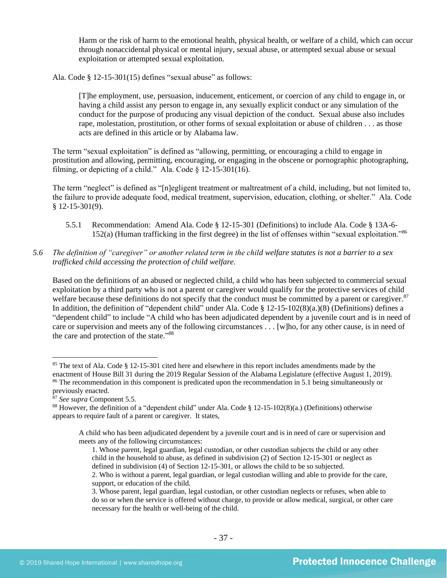Harm or the risk of harm to the emotional health, physical health, or welfare of a child, which can occur through nonaccidental physical or mental injury, sexual abuse, or attempted sexual abuse or sexual exploitation or attempted sexual exploitation.

Ala. Code § 12-15-301(15) defines "sexual abuse" as follows:

[T]he employment, use, persuasion, inducement, enticement, or coercion of any child to engage in, or having a child assist any person to engage in, any sexually explicit conduct or any simulation of the conduct for the purpose of producing any visual depiction of the conduct. Sexual abuse also includes rape, molestation, prostitution, or other forms of sexual exploitation or abuse of children . . . as those acts are defined in this article or by Alabama law.

The term "sexual exploitation" is defined as "allowing, permitting, or encouraging a child to engage in prostitution and allowing, permitting, encouraging, or engaging in the obscene or pornographic photographing, filming, or depicting of a child." Ala. Code  $\S$  12-15-301(16).

The term "neglect" is defined as "[n]egligent treatment or maltreatment of a child, including, but not limited to, the failure to provide adequate food, medical treatment, supervision, education, clothing, or shelter." Ala. Code § 12-15-301(9).

- 5.5.1 Recommendation: Amend Ala. Code § 12-15-301 (Definitions) to include Ala. Code § 13A-6- 152(a) (Human trafficking in the first degree) in the list of offenses within "sexual exploitation."<sup>86</sup>
- *5.6 The definition of "caregiver" or another related term in the child welfare statutes is not a barrier to a sex trafficked child accessing the protection of child welfare.*

Based on the definitions of an abused or neglected child, a child who has been subjected to commercial sexual exploitation by a third party who is not a parent or caregiver would qualify for the protective services of child welfare because these definitions do not specify that the conduct must be committed by a parent or caregiver.<sup>87</sup> In addition, the definition of "dependent child" under Ala. Code § 12-15-102(8)(a.)(8) (Definitions) defines a "dependent child" to include "A child who has been adjudicated dependent by a juvenile court and is in need of care or supervision and meets any of the following circumstances . . . [w]ho, for any other cause, is in need of the care and protection of the state."<sup>88</sup>

<sup>&</sup>lt;sup>85</sup> The text of Ala. Code § 12-15-301 cited here and elsewhere in this report includes amendments made by the enactment of House Bill 31 during the 2019 Regular Session of the Alabama Legislature (effective August 1, 2019). <sup>86</sup> The recommendation in this component is predicated upon the recommendation in 5.1 being simultaneously or previously enacted.

<sup>87</sup> *See supra* Component 5.5.

<sup>88</sup> However, the definition of a "dependent child" under Ala. Code § 12-15-102(8)(a.) (Definitions) otherwise appears to require fault of a parent or caregiver. It states,

A child who has been adjudicated dependent by a juvenile court and is in need of care or supervision and meets any of the following circumstances:

<sup>1.</sup> Whose parent, legal guardian, legal custodian, or other custodian subjects the child or any other child in the household to abuse, as defined in subdivision (2) of Section 12-15-301 or neglect as defined in subdivision (4) of Section 12-15-301, or allows the child to be so subjected.

<sup>2.</sup> Who is without a parent, legal guardian, or legal custodian willing and able to provide for the care, support, or education of the child.

<sup>3.</sup> Whose parent, legal guardian, legal custodian, or other custodian neglects or refuses, when able to do so or when the service is offered without charge, to provide or allow medical, surgical, or other care necessary for the health or well-being of the child.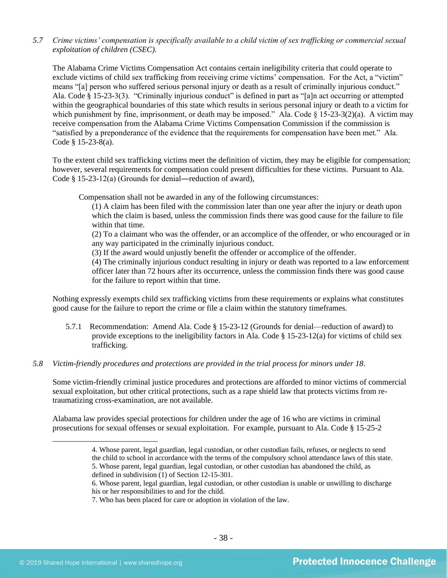*5.7 Crime victims' compensation is specifically available to a child victim of sex trafficking or commercial sexual exploitation of children (CSEC).*

The Alabama Crime Victims Compensation Act contains certain ineligibility criteria that could operate to exclude victims of child sex trafficking from receiving crime victims' compensation. For the Act, a "victim" means "[a] person who suffered serious personal injury or death as a result of criminally injurious conduct." Ala. Code § 15-23-3(3). "Criminally injurious conduct" is defined in part as "[a]n act occurring or attempted within the geographical boundaries of this state which results in serious personal injury or death to a victim for which punishment by fine, imprisonment, or death may be imposed." Ala. Code § 15-23-3(2)(a). A victim may receive compensation from the Alabama Crime Victims Compensation Commission if the commission is "satisfied by a preponderance of the evidence that the requirements for compensation have been met." Ala. Code § 15-23-8(a).

To the extent child sex trafficking victims meet the definition of victim, they may be eligible for compensation; however, several requirements for compensation could present difficulties for these victims. Pursuant to Ala. Code § 15-23-12(a) (Grounds for denial―reduction of award),

Compensation shall not be awarded in any of the following circumstances:

(1) A claim has been filed with the commission later than one year after the injury or death upon which the claim is based, unless the commission finds there was good cause for the failure to file within that time.

(2) To a claimant who was the offender, or an accomplice of the offender, or who encouraged or in any way participated in the criminally injurious conduct.

(3) If the award would unjustly benefit the offender or accomplice of the offender.

(4) The criminally injurious conduct resulting in injury or death was reported to a law enforcement officer later than 72 hours after its occurrence, unless the commission finds there was good cause for the failure to report within that time.

Nothing expressly exempts child sex trafficking victims from these requirements or explains what constitutes good cause for the failure to report the crime or file a claim within the statutory timeframes.

- 5.7.1 Recommendation: Amend Ala. Code § 15-23-12 (Grounds for denial—reduction of award) to provide exceptions to the ineligibility factors in Ala. Code § 15-23-12(a) for victims of child sex trafficking.
- *5.8 Victim-friendly procedures and protections are provided in the trial process for minors under 18.*

Some victim-friendly criminal justice procedures and protections are afforded to minor victims of commercial sexual exploitation, but other critical protections, such as a rape shield law that protects victims from retraumatizing cross-examination, are not available.

Alabama law provides special protections for children under the age of 16 who are victims in criminal prosecutions for sexual offenses or sexual exploitation. For example, pursuant to Ala. Code § 15-25-2

- defined in subdivision (1) of Section 12-15-301.
- 6. Whose parent, legal guardian, legal custodian, or other custodian is unable or unwilling to discharge his or her responsibilities to and for the child.
- 7. Who has been placed for care or adoption in violation of the law.

<sup>4.</sup> Whose parent, legal guardian, legal custodian, or other custodian fails, refuses, or neglects to send the child to school in accordance with the terms of the compulsory school attendance laws of this state. 5. Whose parent, legal guardian, legal custodian, or other custodian has abandoned the child, as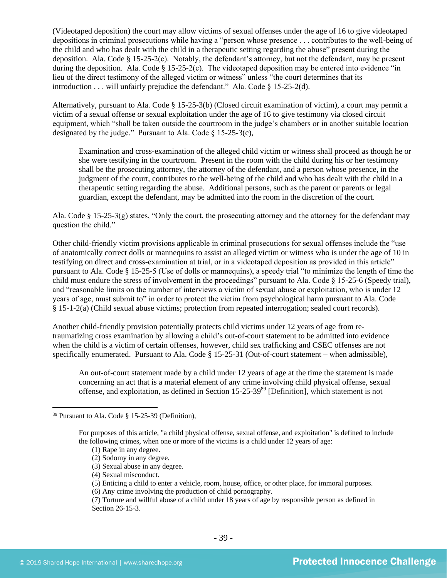(Videotaped deposition) the court may allow victims of sexual offenses under the age of 16 to give videotaped depositions in criminal prosecutions while having a "person whose presence . . . contributes to the well-being of the child and who has dealt with the child in a therapeutic setting regarding the abuse" present during the deposition. Ala. Code  $\S 15-25-2(c)$ . Notably, the defendant's attorney, but not the defendant, may be present during the deposition. Ala. Code § 15-25-2(c). The videotaped deposition may be entered into evidence "in lieu of the direct testimony of the alleged victim or witness" unless "the court determines that its introduction . . . will unfairly prejudice the defendant." Ala. Code  $\S$  15-25-2(d).

Alternatively, pursuant to Ala. Code § 15-25-3(b) (Closed circuit examination of victim), a court may permit a victim of a sexual offense or sexual exploitation under the age of 16 to give testimony via closed circuit equipment, which "shall be taken outside the courtroom in the judge's chambers or in another suitable location designated by the judge." Pursuant to Ala. Code  $\S$  15-25-3(c),

Examination and cross-examination of the alleged child victim or witness shall proceed as though he or she were testifying in the courtroom. Present in the room with the child during his or her testimony shall be the prosecuting attorney, the attorney of the defendant, and a person whose presence, in the judgment of the court, contributes to the well-being of the child and who has dealt with the child in a therapeutic setting regarding the abuse. Additional persons, such as the parent or parents or legal guardian, except the defendant, may be admitted into the room in the discretion of the court.

Ala. Code § 15-25-3(g) states, "Only the court, the prosecuting attorney and the attorney for the defendant may question the child."

Other child-friendly victim provisions applicable in criminal prosecutions for sexual offenses include the "use of anatomically correct dolls or mannequins to assist an alleged victim or witness who is under the age of 10 in testifying on direct and cross-examination at trial, or in a videotaped deposition as provided in this article" pursuant to Ala. Code § 15-25-5 (Use of dolls or mannequins), a speedy trial "to minimize the length of time the child must endure the stress of involvement in the proceedings" pursuant to Ala. Code § 15-25-6 (Speedy trial), and "reasonable limits on the number of interviews a victim of sexual abuse or exploitation, who is under 12 years of age, must submit to" in order to protect the victim from psychological harm pursuant to Ala. Code § 15-1-2(a) (Child sexual abuse victims; protection from repeated interrogation; sealed court records).

Another child-friendly provision potentially protects child victims under 12 years of age from retraumatizing cross examination by allowing a child's out-of-court statement to be admitted into evidence when the child is a victim of certain offenses, however, child sex trafficking and CSEC offenses are not specifically enumerated. Pursuant to Ala. Code § 15-25-31 (Out-of-court statement – when admissible),

An out-of-court statement made by a child under 12 years of age at the time the statement is made concerning an act that is a material element of any crime involving child physical offense, sexual offense, and exploitation, as defined in Section 15-25-39<sup>89</sup> [Definition], which statement is not

(6) Any crime involving the production of child pornography.

<sup>89</sup> Pursuant to Ala. Code § 15-25-39 (Definition),

For purposes of this article, "a child physical offense, sexual offense, and exploitation" is defined to include the following crimes, when one or more of the victims is a child under 12 years of age:

<sup>(1)</sup> Rape in any degree.

<sup>(2)</sup> Sodomy in any degree.

<sup>(3)</sup> Sexual abuse in any degree.

<sup>(4)</sup> Sexual misconduct.

<sup>(5)</sup> Enticing a child to enter a vehicle, room, house, office, or other place, for immoral purposes.

<sup>(7)</sup> Torture and willful abuse of a child under 18 years of age by responsible person as defined in Section 26-15-3.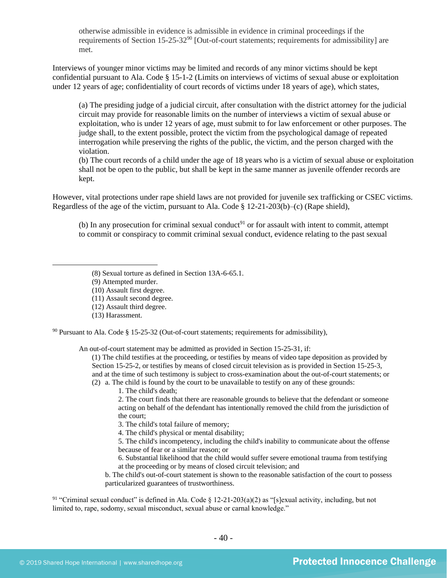otherwise admissible in evidence is admissible in evidence in criminal proceedings if the requirements of Section 15-25-32 $90$  [Out-of-court statements; requirements for admissibility] are met.

Interviews of younger minor victims may be limited and records of any minor victims should be kept confidential pursuant to Ala. Code § 15-1-2 (Limits on interviews of victims of sexual abuse or exploitation under 12 years of age; confidentiality of court records of victims under 18 years of age), which states,

(a) The presiding judge of a judicial circuit, after consultation with the district attorney for the judicial circuit may provide for reasonable limits on the number of interviews a victim of sexual abuse or exploitation, who is under 12 years of age, must submit to for law enforcement or other purposes. The judge shall, to the extent possible, protect the victim from the psychological damage of repeated interrogation while preserving the rights of the public, the victim, and the person charged with the violation.

(b) The court records of a child under the age of 18 years who is a victim of sexual abuse or exploitation shall not be open to the public, but shall be kept in the same manner as juvenile offender records are kept.

However, vital protections under rape shield laws are not provided for juvenile sex trafficking or CSEC victims. Regardless of the age of the victim, pursuant to Ala. Code § 12-21-203(b)–(c) (Rape shield),

(b) In any prosecution for criminal sexual conduct<sup>91</sup> or for assault with intent to commit, attempt to commit or conspiracy to commit criminal sexual conduct, evidence relating to the past sexual

- (8) Sexual torture as defined in Section 13A-6-65.1.
- (9) Attempted murder.
- (10) Assault first degree.
- (11) Assault second degree.
- (12) Assault third degree.
- (13) Harassment.

 $90$  Pursuant to Ala. Code § 15-25-32 (Out-of-court statements; requirements for admissibility),

An out-of-court statement may be admitted as provided in Section 15-25-31, if:

(1) The child testifies at the proceeding, or testifies by means of video tape deposition as provided by Section 15-25-2, or testifies by means of closed circuit television as is provided in Section 15-25-3, and at the time of such testimony is subject to cross-examination about the out-of-court statements; or (2) a. The child is found by the court to be unavailable to testify on any of these grounds:

1. The child's death;

2. The court finds that there are reasonable grounds to believe that the defendant or someone acting on behalf of the defendant has intentionally removed the child from the jurisdiction of the court;

3. The child's total failure of memory;

4. The child's physical or mental disability;

5. The child's incompetency, including the child's inability to communicate about the offense because of fear or a similar reason; or

6. Substantial likelihood that the child would suffer severe emotional trauma from testifying at the proceeding or by means of closed circuit television; and

b. The child's out-of-court statement is shown to the reasonable satisfaction of the court to possess particularized guarantees of trustworthiness.

<sup>91</sup> "Criminal sexual conduct" is defined in Ala. Code  $\S$  12-21-203(a)(2) as "[s]exual activity, including, but not limited to, rape, sodomy, sexual misconduct, sexual abuse or carnal knowledge."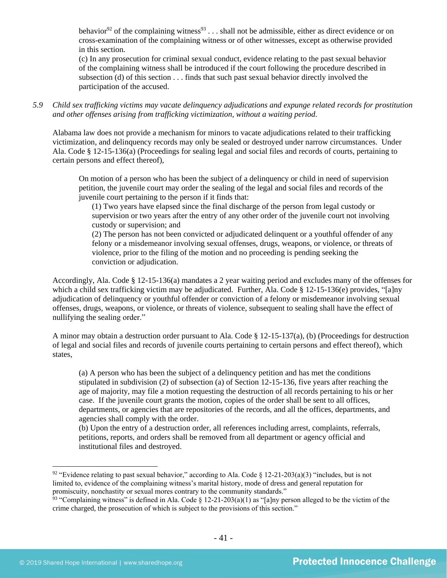behavior<sup>92</sup> of the complaining witness<sup>93</sup> . . . shall not be admissible, either as direct evidence or on cross-examination of the complaining witness or of other witnesses, except as otherwise provided in this section.

(c) In any prosecution for criminal sexual conduct, evidence relating to the past sexual behavior of the complaining witness shall be introduced if the court following the procedure described in subsection (d) of this section . . . finds that such past sexual behavior directly involved the participation of the accused.

*5.9 Child sex trafficking victims may vacate delinquency adjudications and expunge related records for prostitution and other offenses arising from trafficking victimization, without a waiting period.*

Alabama law does not provide a mechanism for minors to vacate adjudications related to their trafficking victimization, and delinquency records may only be sealed or destroyed under narrow circumstances. Under Ala. Code § 12-15-136(a) (Proceedings for sealing legal and social files and records of courts, pertaining to certain persons and effect thereof),

On motion of a person who has been the subject of a delinquency or child in need of supervision petition, the juvenile court may order the sealing of the legal and social files and records of the juvenile court pertaining to the person if it finds that:

(1) Two years have elapsed since the final discharge of the person from legal custody or supervision or two years after the entry of any other order of the juvenile court not involving custody or supervision; and

(2) The person has not been convicted or adjudicated delinquent or a youthful offender of any felony or a misdemeanor involving sexual offenses, drugs, weapons, or violence, or threats of violence, prior to the filing of the motion and no proceeding is pending seeking the conviction or adjudication.

Accordingly, Ala. Code § 12-15-136(a) mandates a 2 year waiting period and excludes many of the offenses for which a child sex trafficking victim may be adjudicated. Further, Ala. Code § 12-15-136(e) provides, "[a]ny adjudication of delinquency or youthful offender or conviction of a felony or misdemeanor involving sexual offenses, drugs, weapons, or violence, or threats of violence, subsequent to sealing shall have the effect of nullifying the sealing order."

A minor may obtain a destruction order pursuant to Ala. Code § 12-15-137(a), (b) (Proceedings for destruction of legal and social files and records of juvenile courts pertaining to certain persons and effect thereof), which states,

(a) A person who has been the subject of a delinquency petition and has met the conditions stipulated in subdivision (2) of subsection (a) of Section 12-15-136, five years after reaching the age of majority, may file a motion requesting the destruction of all records pertaining to his or her case. If the juvenile court grants the motion, copies of the order shall be sent to all offices, departments, or agencies that are repositories of the records, and all the offices, departments, and agencies shall comply with the order.

(b) Upon the entry of a destruction order, all references including arrest, complaints, referrals, petitions, reports, and orders shall be removed from all department or agency official and institutional files and destroyed.

<sup>&</sup>lt;sup>92</sup> "Evidence relating to past sexual behavior," according to Ala. Code § 12-21-203(a)(3) "includes, but is not limited to, evidence of the complaining witness's marital history, mode of dress and general reputation for promiscuity, nonchastity or sexual mores contrary to the community standards."

<sup>&</sup>lt;sup>93</sup> "Complaining witness" is defined in Ala. Code § 12-21-203(a)(1) as "[a]ny person alleged to be the victim of the crime charged, the prosecution of which is subject to the provisions of this section."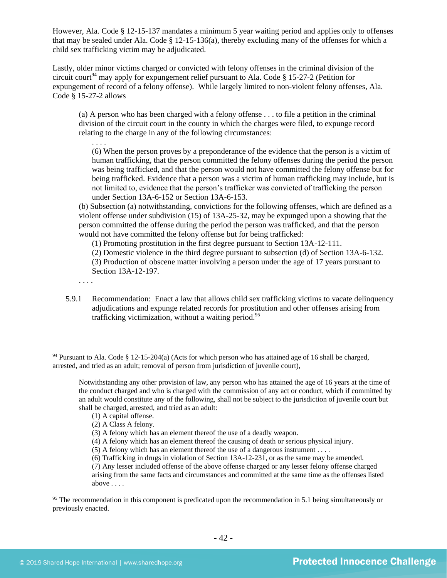However, Ala. Code § 12-15-137 mandates a minimum 5 year waiting period and applies only to offenses that may be sealed under Ala. Code § 12-15-136(a), thereby excluding many of the offenses for which a child sex trafficking victim may be adjudicated.

Lastly, older minor victims charged or convicted with felony offenses in the criminal division of the circuit court<sup>94</sup> may apply for expungement relief pursuant to Ala. Code § 15-27-2 (Petition for expungement of record of a felony offense). While largely limited to non-violent felony offenses, Ala. Code § 15-27-2 allows

(a) A person who has been charged with a felony offense . . . to file a petition in the criminal division of the circuit court in the county in which the charges were filed, to expunge record relating to the charge in any of the following circumstances:

(6) When the person proves by a preponderance of the evidence that the person is a victim of human trafficking, that the person committed the felony offenses during the period the person was being trafficked, and that the person would not have committed the felony offense but for being trafficked. Evidence that a person was a victim of human trafficking may include, but is not limited to, evidence that the person's trafficker was convicted of trafficking the person under Section 13A-6-152 or Section 13A-6-153.

(b) Subsection (a) notwithstanding, convictions for the following offenses, which are defined as a violent offense under subdivision (15) of 13A-25-32, may be expunged upon a showing that the person committed the offense during the period the person was trafficked, and that the person would not have committed the felony offense but for being trafficked:

(1) Promoting prostitution in the first degree pursuant to Section 13A-12-111.

(2) Domestic violence in the third degree pursuant to subsection (d) of Section 13A-6-132. (3) Production of obscene matter involving a person under the age of 17 years pursuant to Section 13A-12-197.

. . . .

. . . .

5.9.1 Recommendation: Enact a law that allows child sex trafficking victims to vacate delinquency adjudications and expunge related records for prostitution and other offenses arising from trafficking victimization, without a waiting period. 95

(1) A capital offense.

<sup>94</sup> Pursuant to Ala. Code § 12-15-204(a) (Acts for which person who has attained age of 16 shall be charged, arrested, and tried as an adult; removal of person from jurisdiction of juvenile court),

Notwithstanding any other provision of law, any person who has attained the age of 16 years at the time of the conduct charged and who is charged with the commission of any act or conduct, which if committed by an adult would constitute any of the following, shall not be subject to the jurisdiction of juvenile court but shall be charged, arrested, and tried as an adult:

<sup>(2)</sup> A Class A felony.

<sup>(3)</sup> A felony which has an element thereof the use of a deadly weapon.

<sup>(4)</sup> A felony which has an element thereof the causing of death or serious physical injury.

<sup>(5)</sup> A felony which has an element thereof the use of a dangerous instrument . . . .

<sup>(6)</sup> Trafficking in drugs in violation of Section 13A-12-231, or as the same may be amended.

<sup>(7)</sup> Any lesser included offense of the above offense charged or any lesser felony offense charged arising from the same facts and circumstances and committed at the same time as the offenses listed above . . . .

<sup>&</sup>lt;sup>95</sup> The recommendation in this component is predicated upon the recommendation in 5.1 being simultaneously or previously enacted.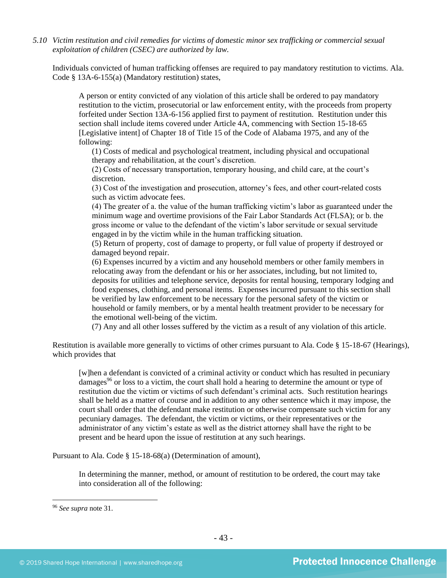*5.10 Victim restitution and civil remedies for victims of domestic minor sex trafficking or commercial sexual exploitation of children (CSEC) are authorized by law.* 

Individuals convicted of human trafficking offenses are required to pay mandatory restitution to victims. Ala. Code § 13A-6-155(a) (Mandatory restitution) states,

A person or entity convicted of any violation of this article shall be ordered to pay mandatory restitution to the victim, prosecutorial or law enforcement entity, with the proceeds from property forfeited under Section 13A-6-156 applied first to payment of restitution. Restitution under this section shall include items covered under Article 4A, commencing with Section 15-18-65 [Legislative intent] of Chapter 18 of Title 15 of the Code of Alabama 1975, and any of the following:

(1) Costs of medical and psychological treatment, including physical and occupational therapy and rehabilitation, at the court's discretion.

(2) Costs of necessary transportation, temporary housing, and child care, at the court's discretion.

(3) Cost of the investigation and prosecution, attorney's fees, and other court-related costs such as victim advocate fees.

(4) The greater of a. the value of the human trafficking victim's labor as guaranteed under the minimum wage and overtime provisions of the Fair Labor Standards Act (FLSA); or b. the gross income or value to the defendant of the victim's labor servitude or sexual servitude engaged in by the victim while in the human trafficking situation.

(5) Return of property, cost of damage to property, or full value of property if destroyed or damaged beyond repair.

(6) Expenses incurred by a victim and any household members or other family members in relocating away from the defendant or his or her associates, including, but not limited to, deposits for utilities and telephone service, deposits for rental housing, temporary lodging and food expenses, clothing, and personal items. Expenses incurred pursuant to this section shall be verified by law enforcement to be necessary for the personal safety of the victim or household or family members, or by a mental health treatment provider to be necessary for the emotional well-being of the victim.

(7) Any and all other losses suffered by the victim as a result of any violation of this article.

Restitution is available more generally to victims of other crimes pursuant to Ala. Code § 15-18-67 (Hearings), which provides that

[w]hen a defendant is convicted of a criminal activity or conduct which has resulted in pecuniary damages<sup>96</sup> or loss to a victim, the court shall hold a hearing to determine the amount or type of restitution due the victim or victims of such defendant's criminal acts. Such restitution hearings shall be held as a matter of course and in addition to any other sentence which it may impose, the court shall order that the defendant make restitution or otherwise compensate such victim for any pecuniary damages. The defendant, the victim or victims, or their representatives or the administrator of any victim's estate as well as the district attorney shall have the right to be present and be heard upon the issue of restitution at any such hearings.

Pursuant to Ala. Code § 15-18-68(a) (Determination of amount),

In determining the manner, method, or amount of restitution to be ordered, the court may take into consideration all of the following:

<sup>96</sup> *See supra* note [31.](#page-15-1)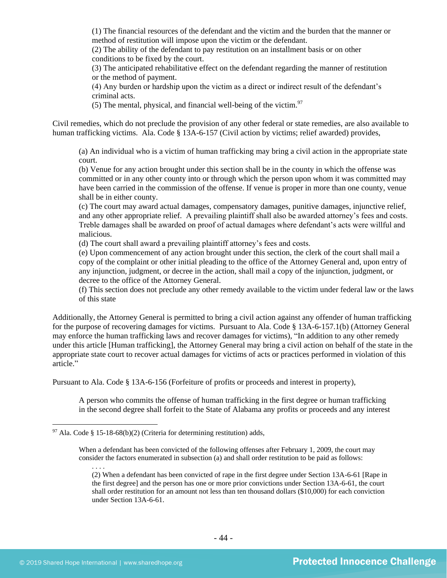(1) The financial resources of the defendant and the victim and the burden that the manner or method of restitution will impose upon the victim or the defendant.

(2) The ability of the defendant to pay restitution on an installment basis or on other conditions to be fixed by the court.

(3) The anticipated rehabilitative effect on the defendant regarding the manner of restitution or the method of payment.

(4) Any burden or hardship upon the victim as a direct or indirect result of the defendant's criminal acts.

(5) The mental, physical, and financial well-being of the victim. $97$ 

Civil remedies, which do not preclude the provision of any other federal or state remedies, are also available to human trafficking victims. Ala. Code § 13A-6-157 (Civil action by victims; relief awarded) provides,

(a) An individual who is a victim of human trafficking may bring a civil action in the appropriate state court.

(b) Venue for any action brought under this section shall be in the county in which the offense was committed or in any other county into or through which the person upon whom it was committed may have been carried in the commission of the offense. If venue is proper in more than one county, venue shall be in either county.

(c) The court may award actual damages, compensatory damages, punitive damages, injunctive relief, and any other appropriate relief. A prevailing plaintiff shall also be awarded attorney's fees and costs. Treble damages shall be awarded on proof of actual damages where defendant's acts were willful and malicious.

(d) The court shall award a prevailing plaintiff attorney's fees and costs.

(e) Upon commencement of any action brought under this section, the clerk of the court shall mail a copy of the complaint or other initial pleading to the office of the Attorney General and, upon entry of any injunction, judgment, or decree in the action, shall mail a copy of the injunction, judgment, or decree to the office of the Attorney General.

(f) This section does not preclude any other remedy available to the victim under federal law or the laws of this state

Additionally, the Attorney General is permitted to bring a civil action against any offender of human trafficking for the purpose of recovering damages for victims. Pursuant to Ala. Code § 13A-6-157.1(b) (Attorney General may enforce the human trafficking laws and recover damages for victims), "In addition to any other remedy under this article [Human trafficking], the Attorney General may bring a civil action on behalf of the state in the appropriate state court to recover actual damages for victims of acts or practices performed in violation of this article."

Pursuant to Ala. Code § 13A-6-156 (Forfeiture of profits or proceeds and interest in property),

A person who commits the offense of human trafficking in the first degree or human trafficking in the second degree shall forfeit to the State of Alabama any profits or proceeds and any interest

 $97$  Ala. Code § 15-18-68(b)(2) (Criteria for determining restitution) adds,

When a defendant has been convicted of the following offenses after February 1, 2009, the court may consider the factors enumerated in subsection (a) and shall order restitution to be paid as follows:

<sup>(2)</sup> When a defendant has been convicted of rape in the first degree under Section 13A-6-61 [Rape in the first degree] and the person has one or more prior convictions under Section 13A-6-61, the court shall order restitution for an amount not less than ten thousand dollars (\$10,000) for each conviction under Section 13A-6-61.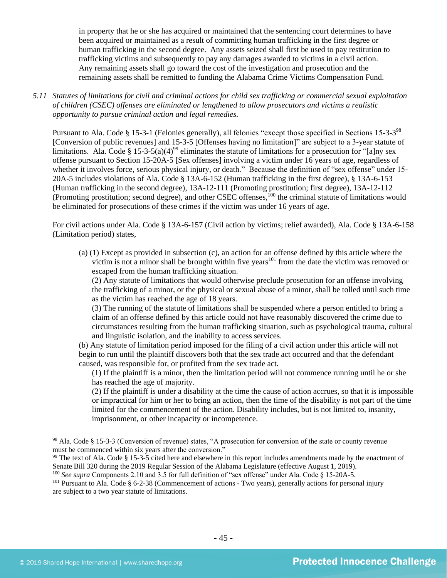in property that he or she has acquired or maintained that the sentencing court determines to have been acquired or maintained as a result of committing human trafficking in the first degree or human trafficking in the second degree. Any assets seized shall first be used to pay restitution to trafficking victims and subsequently to pay any damages awarded to victims in a civil action. Any remaining assets shall go toward the cost of the investigation and prosecution and the remaining assets shall be remitted to funding the Alabama Crime Victims Compensation Fund.

*5.11 Statutes of limitations for civil and criminal actions for child sex trafficking or commercial sexual exploitation of children (CSEC) offenses are eliminated or lengthened to allow prosecutors and victims a realistic opportunity to pursue criminal action and legal remedies.*

Pursuant to Ala. Code § 15-3-1 (Felonies generally), all felonies "except those specified in Sections 15-3-3<sup>98</sup> [Conversion of public revenues] and 15-3-5 [Offenses having no limitation]" are subject to a 3-year statute of limitations. Ala. Code § 15-3-5(a)(4)<sup>99</sup> eliminates the statute of limitations for a prosecution for "[a]ny sex offense pursuant to Section 15-20A-5 [Sex offenses] involving a victim under 16 years of age, regardless of whether it involves force, serious physical injury, or death." Because the definition of "sex offense" under 15-20A-5 includes violations of Ala. Code § 13A-6-152 (Human trafficking in the first degree), § 13A-6-153 (Human trafficking in the second degree), 13A-12-111 (Promoting prostitution; first degree), 13A-12-112 (Promoting prostitution; second degree), and other CSEC offenses,<sup>100</sup> the criminal statute of limitations would be eliminated for prosecutions of these crimes if the victim was under 16 years of age.

For civil actions under Ala. Code § 13A-6-157 (Civil action by victims; relief awarded), Ala. Code § 13A-6-158 (Limitation period) states,

(a) (1) Except as provided in subsection (c), an action for an offense defined by this article where the victim is not a minor shall be brought within five years<sup>101</sup> from the date the victim was removed or escaped from the human trafficking situation.

(2) Any statute of limitations that would otherwise preclude prosecution for an offense involving the trafficking of a minor, or the physical or sexual abuse of a minor, shall be tolled until such time as the victim has reached the age of 18 years.

(3) The running of the statute of limitations shall be suspended where a person entitled to bring a claim of an offense defined by this article could not have reasonably discovered the crime due to circumstances resulting from the human trafficking situation, such as psychological trauma, cultural and linguistic isolation, and the inability to access services.

(b) Any statute of limitation period imposed for the filing of a civil action under this article will not begin to run until the plaintiff discovers both that the sex trade act occurred and that the defendant caused, was responsible for, or profited from the sex trade act.

(1) If the plaintiff is a minor, then the limitation period will not commence running until he or she has reached the age of majority.

(2) If the plaintiff is under a disability at the time the cause of action accrues, so that it is impossible or impractical for him or her to bring an action, then the time of the disability is not part of the time limited for the commencement of the action. Disability includes, but is not limited to, insanity, imprisonment, or other incapacity or incompetence.

<sup>98</sup> Ala. Code § 15-3-3 (Conversion of revenue) states, "A prosecution for conversion of the state or county revenue must be commenced within six years after the conversion."

 $99$  The text of Ala. Code § 15-3-5 cited here and elsewhere in this report includes amendments made by the enactment of Senate Bill 320 during the 2019 Regular Session of the Alabama Legislature (effective August 1, 2019).

<sup>100</sup> *See supra* Components 2.10 and 3.5 for full definition of "sex offense" under Ala. Code § 15-20A-5.

<sup>&</sup>lt;sup>101</sup> Pursuant to Ala. Code § 6-2-38 (Commencement of actions - Two years), generally actions for personal injury are subject to a two year statute of limitations.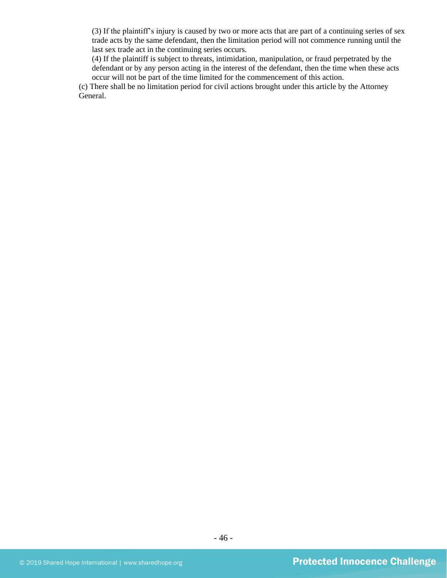(3) If the plaintiff's injury is caused by two or more acts that are part of a continuing series of sex trade acts by the same defendant, then the limitation period will not commence running until the last sex trade act in the continuing series occurs.

(4) If the plaintiff is subject to threats, intimidation, manipulation, or fraud perpetrated by the defendant or by any person acting in the interest of the defendant, then the time when these acts occur will not be part of the time limited for the commencement of this action.

(c) There shall be no limitation period for civil actions brought under this article by the Attorney General.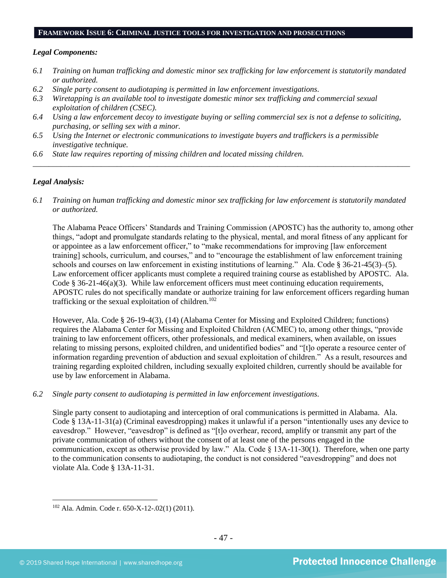#### **FRAMEWORK ISSUE 6: CRIMINAL JUSTICE TOOLS FOR INVESTIGATION AND PROSECUTIONS**

#### *Legal Components:*

- *6.1 Training on human trafficking and domestic minor sex trafficking for law enforcement is statutorily mandated or authorized.*
- *6.2 Single party consent to audiotaping is permitted in law enforcement investigations.*
- *6.3 Wiretapping is an available tool to investigate domestic minor sex trafficking and commercial sexual exploitation of children (CSEC).*
- *6.4 Using a law enforcement decoy to investigate buying or selling commercial sex is not a defense to soliciting, purchasing, or selling sex with a minor.*
- *6.5 Using the Internet or electronic communications to investigate buyers and traffickers is a permissible investigative technique.*
- *6.6 State law requires reporting of missing children and located missing children.*

#### *Legal Analysis:*

*6.1 Training on human trafficking and domestic minor sex trafficking for law enforcement is statutorily mandated or authorized.*

*\_\_\_\_\_\_\_\_\_\_\_\_\_\_\_\_\_\_\_\_\_\_\_\_\_\_\_\_\_\_\_\_\_\_\_\_\_\_\_\_\_\_\_\_\_\_\_\_\_\_\_\_\_\_\_\_\_\_\_\_\_\_\_\_\_\_\_\_\_\_\_\_\_\_\_\_\_\_\_\_\_\_\_\_\_\_\_\_\_\_\_\_\_\_*

The Alabama Peace Officers' Standards and Training Commission (APOSTC) has the authority to, among other things, "adopt and promulgate standards relating to the physical, mental, and moral fitness of any applicant for or appointee as a law enforcement officer," to "make recommendations for improving [law enforcement training] schools, curriculum, and courses," and to "encourage the establishment of law enforcement training schools and courses on law enforcement in existing institutions of learning." Ala. Code § 36-21-45(3)–(5). Law enforcement officer applicants must complete a required training course as established by APOSTC. Ala. Code § 36-21-46(a)(3). While law enforcement officers must meet continuing education requirements, APOSTC rules do not specifically mandate or authorize training for law enforcement officers regarding human trafficking or the sexual exploitation of children.<sup>102</sup>

However, Ala. Code § 26-19-4(3), (14) (Alabama Center for Missing and Exploited Children; functions) requires the Alabama Center for Missing and Exploited Children (ACMEC) to, among other things, "provide training to law enforcement officers, other professionals, and medical examiners, when available, on issues relating to missing persons, exploited children, and unidentified bodies" and "[t]o operate a resource center of information regarding prevention of abduction and sexual exploitation of children." As a result, resources and training regarding exploited children, including sexually exploited children, currently should be available for use by law enforcement in Alabama.

*6.2 Single party consent to audiotaping is permitted in law enforcement investigations.*

Single party consent to audiotaping and interception of oral communications is permitted in Alabama. Ala. Code § 13A-11-31(a) (Criminal eavesdropping) makes it unlawful if a person "intentionally uses any device to eavesdrop." However, "eavesdrop" is defined as "[t]o overhear, record, amplify or transmit any part of the private communication of others without the consent of at least one of the persons engaged in the communication, except as otherwise provided by law." Ala. Code § 13A-11-30(1). Therefore, when one party to the communication consents to audiotaping, the conduct is not considered "eavesdropping" and does not violate Ala. Code § 13A-11-31.

<sup>102</sup> Ala. Admin. Code r. 650-X-12-.02(1) (2011).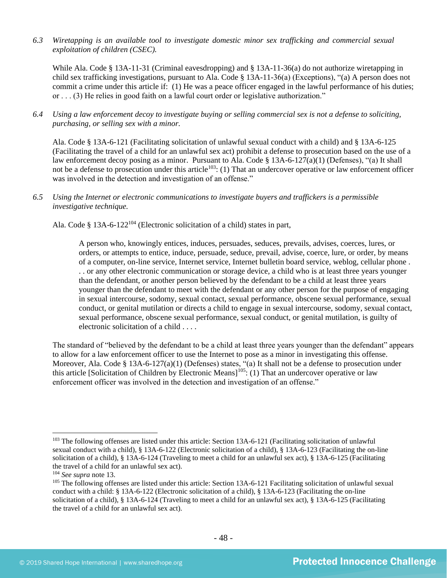*6.3 Wiretapping is an available tool to investigate domestic minor sex trafficking and commercial sexual exploitation of children (CSEC).* 

While Ala. Code § 13A-11-31 (Criminal eavesdropping) and § 13A-11-36(a) do not authorize wiretapping in child sex trafficking investigations, pursuant to Ala. Code § 13A-11-36(a) (Exceptions), "(a) A person does not commit a crime under this article if: (1) He was a peace officer engaged in the lawful performance of his duties; or . . . (3) He relies in good faith on a lawful court order or legislative authorization."

*6.4 Using a law enforcement decoy to investigate buying or selling commercial sex is not a defense to soliciting, purchasing, or selling sex with a minor.*

Ala. Code § 13A-6-121 (Facilitating solicitation of unlawful sexual conduct with a child) and § 13A-6-125 (Facilitating the travel of a child for an unlawful sex act) prohibit a defense to prosecution based on the use of a law enforcement decoy posing as a minor. Pursuant to Ala. Code § 13A-6-127(a)(1) (Defenses), "(a) It shall not be a defense to prosecution under this article<sup>103</sup>: (1) That an undercover operative or law enforcement officer was involved in the detection and investigation of an offense."

*6.5 Using the Internet or electronic communications to investigate buyers and traffickers is a permissible investigative technique.*

Ala. Code § 13A-6-122<sup>104</sup> (Electronic solicitation of a child) states in part,

A person who, knowingly entices, induces, persuades, seduces, prevails, advises, coerces, lures, or orders, or attempts to entice, induce, persuade, seduce, prevail, advise, coerce, lure, or order, by means of a computer, on-line service, Internet service, Internet bulletin board service, weblog, cellular phone . . . or any other electronic communication or storage device, a child who is at least three years younger than the defendant, or another person believed by the defendant to be a child at least three years younger than the defendant to meet with the defendant or any other person for the purpose of engaging in sexual intercourse, sodomy, sexual contact, sexual performance, obscene sexual performance, sexual conduct, or genital mutilation or directs a child to engage in sexual intercourse, sodomy, sexual contact, sexual performance, obscene sexual performance, sexual conduct, or genital mutilation, is guilty of electronic solicitation of a child . . . .

The standard of "believed by the defendant to be a child at least three years younger than the defendant" appears to allow for a law enforcement officer to use the Internet to pose as a minor in investigating this offense. Moreover, Ala. Code § 13A-6-127(a)(1) (Defenses) states, "(a) It shall not be a defense to prosecution under this article [Solicitation of Children by Electronic Means]<sup>105</sup>: (1) That an undercover operative or law enforcement officer was involved in the detection and investigation of an offense."

<sup>&</sup>lt;sup>103</sup> The following offenses are listed under this article: Section 13A-6-121 (Facilitating solicitation of unlawful sexual conduct with a child), § 13A-6-122 (Electronic solicitation of a child), § 13A-6-123 (Facilitating the on-line solicitation of a child), § 13A-6-124 (Traveling to meet a child for an unlawful sex act), § 13A-6-125 (Facilitating the travel of a child for an unlawful sex act).

<sup>104</sup> *See supra* not[e 13.](#page-7-0)

<sup>&</sup>lt;sup>105</sup> The following offenses are listed under this article: Section 13A-6-121 Facilitating solicitation of unlawful sexual conduct with a child: § 13A-6-122 (Electronic solicitation of a child), § 13A-6-123 (Facilitating the on-line solicitation of a child), § 13A-6-124 (Traveling to meet a child for an unlawful sex act), § 13A-6-125 (Facilitating the travel of a child for an unlawful sex act).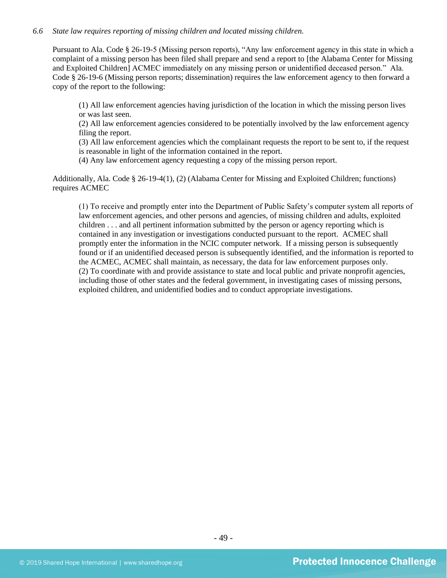# *6.6 State law requires reporting of missing children and located missing children.*

Pursuant to Ala. Code § 26-19-5 (Missing person reports), "Any law enforcement agency in this state in which a complaint of a missing person has been filed shall prepare and send a report to [the Alabama Center for Missing and Exploited Children] ACMEC immediately on any missing person or unidentified deceased person." Ala. Code § 26-19-6 (Missing person reports; dissemination) requires the law enforcement agency to then forward a copy of the report to the following:

(1) All law enforcement agencies having jurisdiction of the location in which the missing person lives or was last seen.

(2) All law enforcement agencies considered to be potentially involved by the law enforcement agency filing the report.

(3) All law enforcement agencies which the complainant requests the report to be sent to, if the request is reasonable in light of the information contained in the report.

(4) Any law enforcement agency requesting a copy of the missing person report.

Additionally, Ala. Code § 26-19-4(1), (2) (Alabama Center for Missing and Exploited Children; functions) requires ACMEC

(1) To receive and promptly enter into the Department of Public Safety's computer system all reports of law enforcement agencies, and other persons and agencies, of missing children and adults, exploited children . . . and all pertinent information submitted by the person or agency reporting which is contained in any investigation or investigations conducted pursuant to the report. ACMEC shall promptly enter the information in the NCIC computer network. If a missing person is subsequently found or if an unidentified deceased person is subsequently identified, and the information is reported to the ACMEC, ACMEC shall maintain, as necessary, the data for law enforcement purposes only. (2) To coordinate with and provide assistance to state and local public and private nonprofit agencies, including those of other states and the federal government, in investigating cases of missing persons, exploited children, and unidentified bodies and to conduct appropriate investigations.